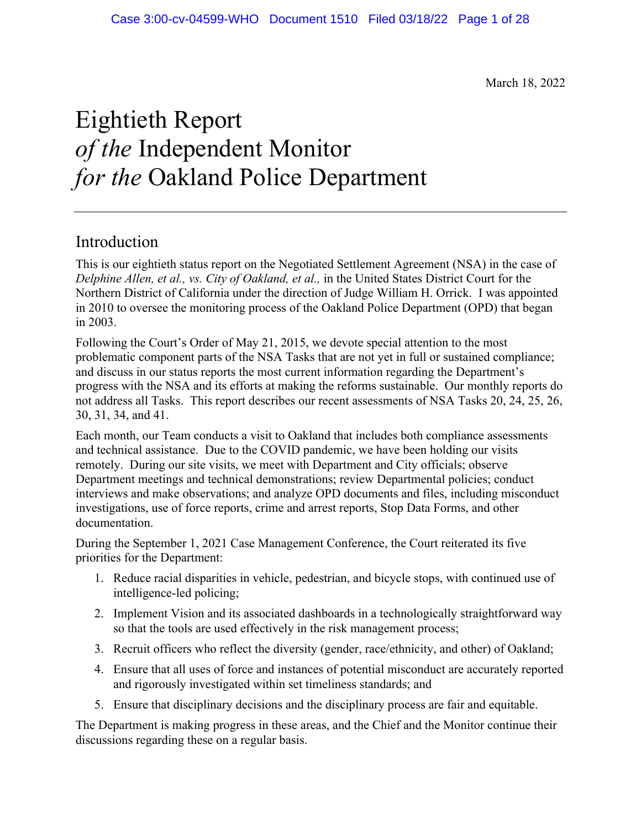March 18, 2022

## Eightieth Report *of the* Independent Monitor *for the* Oakland Police Department

## Introduction

This is our eightieth status report on the Negotiated Settlement Agreement (NSA) in the case of *Delphine Allen, et al., vs. City of Oakland, et al.,* in the United States District Court for the Northern District of California under the direction of Judge William H. Orrick. I was appointed in 2010 to oversee the monitoring process of the Oakland Police Department (OPD) that began in 2003.

Following the Court's Order of May 21, 2015, we devote special attention to the most problematic component parts of the NSA Tasks that are not yet in full or sustained compliance; and discuss in our status reports the most current information regarding the Department's progress with the NSA and its efforts at making the reforms sustainable. Our monthly reports do not address all Tasks. This report describes our recent assessments of NSA Tasks 20, 24, 25, 26, 30, 31, 34, and 41.

Each month, our Team conducts a visit to Oakland that includes both compliance assessments and technical assistance. Due to the COVID pandemic, we have been holding our visits remotely. During our site visits, we meet with Department and City officials; observe Department meetings and technical demonstrations; review Departmental policies; conduct interviews and make observations; and analyze OPD documents and files, including misconduct investigations, use of force reports, crime and arrest reports, Stop Data Forms, and other documentation.

During the September 1, 2021 Case Management Conference, the Court reiterated its five priorities for the Department:

- 1. Reduce racial disparities in vehicle, pedestrian, and bicycle stops, with continued use of intelligence-led policing;
- 2. Implement Vision and its associated dashboards in a technologically straightforward way so that the tools are used effectively in the risk management process;
- 3. Recruit officers who reflect the diversity (gender, race/ethnicity, and other) of Oakland;
- 4. Ensure that all uses of force and instances of potential misconduct are accurately reported and rigorously investigated within set timeliness standards; and
- 5. Ensure that disciplinary decisions and the disciplinary process are fair and equitable.

The Department is making progress in these areas, and the Chief and the Monitor continue their discussions regarding these on a regular basis.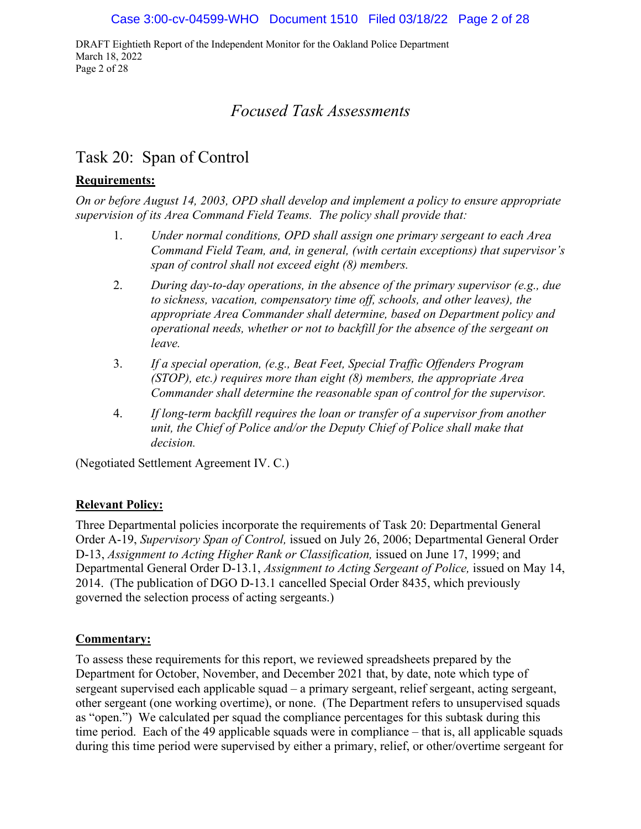DRAFT Eightieth Report of the Independent Monitor for the Oakland Police Department March 18, 2022 Page 2 of 28

## *Focused Task Assessments*

## Task 20: Span of Control

## **Requirements:**

*On or before August 14, 2003, OPD shall develop and implement a policy to ensure appropriate supervision of its Area Command Field Teams. The policy shall provide that:*

- 1. *Under normal conditions, OPD shall assign one primary sergeant to each Area Command Field Team, and, in general, (with certain exceptions) that supervisor's span of control shall not exceed eight (8) members.*
- 2. *During day-to-day operations, in the absence of the primary supervisor (e.g., due to sickness, vacation, compensatory time off, schools, and other leaves), the appropriate Area Commander shall determine, based on Department policy and operational needs, whether or not to backfill for the absence of the sergeant on leave.*
- 3. *If a special operation, (e.g., Beat Feet, Special Traffic Offenders Program (STOP), etc.) requires more than eight (8) members, the appropriate Area Commander shall determine the reasonable span of control for the supervisor.*
- 4. *If long-term backfill requires the loan or transfer of a supervisor from another unit, the Chief of Police and/or the Deputy Chief of Police shall make that decision.*

(Negotiated Settlement Agreement IV. C.)

## **Relevant Policy:**

Three Departmental policies incorporate the requirements of Task 20: Departmental General Order A-19, *Supervisory Span of Control,* issued on July 26, 2006; Departmental General Order D-13, *Assignment to Acting Higher Rank or Classification,* issued on June 17, 1999; and Departmental General Order D-13.1, *Assignment to Acting Sergeant of Police,* issued on May 14, 2014. (The publication of DGO D-13.1 cancelled Special Order 8435, which previously governed the selection process of acting sergeants.)

## **Commentary:**

To assess these requirements for this report, we reviewed spreadsheets prepared by the Department for October, November, and December 2021 that, by date, note which type of sergeant supervised each applicable squad – a primary sergeant, relief sergeant, acting sergeant, other sergeant (one working overtime), or none. (The Department refers to unsupervised squads as "open.") We calculated per squad the compliance percentages for this subtask during this time period. Each of the 49 applicable squads were in compliance – that is, all applicable squads during this time period were supervised by either a primary, relief, or other/overtime sergeant for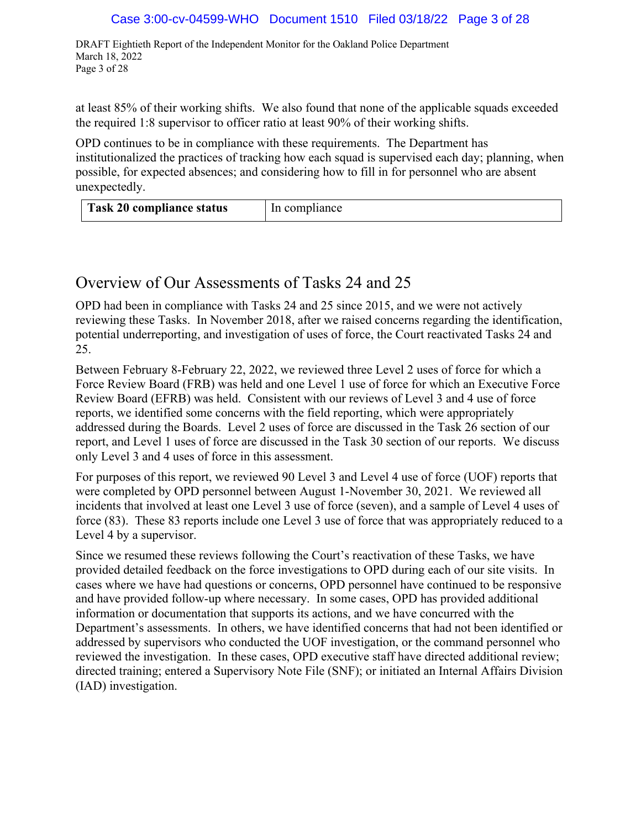#### Case 3:00-cv-04599-WHO Document 1510 Filed 03/18/22 Page 3 of 28

DRAFT Eightieth Report of the Independent Monitor for the Oakland Police Department March 18, 2022 Page 3 of 28

at least 85% of their working shifts. We also found that none of the applicable squads exceeded the required 1:8 supervisor to officer ratio at least 90% of their working shifts.

OPD continues to be in compliance with these requirements. The Department has institutionalized the practices of tracking how each squad is supervised each day; planning, when possible, for expected absences; and considering how to fill in for personnel who are absent unexpectedly.

| Task 20 compliance status |               |
|---------------------------|---------------|
|                           | In compliance |

## Overview of Our Assessments of Tasks 24 and 25

OPD had been in compliance with Tasks 24 and 25 since 2015, and we were not actively reviewing these Tasks. In November 2018, after we raised concerns regarding the identification, potential underreporting, and investigation of uses of force, the Court reactivated Tasks 24 and 25.

Between February 8-February 22, 2022, we reviewed three Level 2 uses of force for which a Force Review Board (FRB) was held and one Level 1 use of force for which an Executive Force Review Board (EFRB) was held. Consistent with our reviews of Level 3 and 4 use of force reports, we identified some concerns with the field reporting, which were appropriately addressed during the Boards. Level 2 uses of force are discussed in the Task 26 section of our report, and Level 1 uses of force are discussed in the Task 30 section of our reports. We discuss only Level 3 and 4 uses of force in this assessment.

For purposes of this report, we reviewed 90 Level 3 and Level 4 use of force (UOF) reports that were completed by OPD personnel between August 1-November 30, 2021. We reviewed all incidents that involved at least one Level 3 use of force (seven), and a sample of Level 4 uses of force (83). These 83 reports include one Level 3 use of force that was appropriately reduced to a Level 4 by a supervisor.

Since we resumed these reviews following the Court's reactivation of these Tasks, we have provided detailed feedback on the force investigations to OPD during each of our site visits. In cases where we have had questions or concerns, OPD personnel have continued to be responsive and have provided follow-up where necessary. In some cases, OPD has provided additional information or documentation that supports its actions, and we have concurred with the Department's assessments. In others, we have identified concerns that had not been identified or addressed by supervisors who conducted the UOF investigation, or the command personnel who reviewed the investigation. In these cases, OPD executive staff have directed additional review; directed training; entered a Supervisory Note File (SNF); or initiated an Internal Affairs Division (IAD) investigation.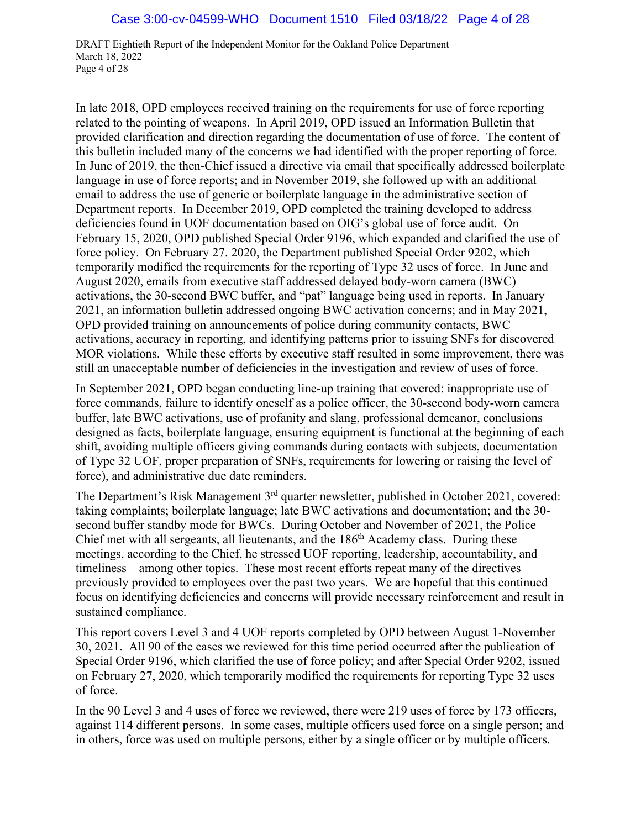DRAFT Eightieth Report of the Independent Monitor for the Oakland Police Department March 18, 2022 Page 4 of 28

In late 2018, OPD employees received training on the requirements for use of force reporting related to the pointing of weapons. In April 2019, OPD issued an Information Bulletin that provided clarification and direction regarding the documentation of use of force. The content of this bulletin included many of the concerns we had identified with the proper reporting of force. In June of 2019, the then-Chief issued a directive via email that specifically addressed boilerplate language in use of force reports; and in November 2019, she followed up with an additional email to address the use of generic or boilerplate language in the administrative section of Department reports. In December 2019, OPD completed the training developed to address deficiencies found in UOF documentation based on OIG's global use of force audit. On February 15, 2020, OPD published Special Order 9196, which expanded and clarified the use of force policy. On February 27. 2020, the Department published Special Order 9202, which temporarily modified the requirements for the reporting of Type 32 uses of force. In June and August 2020, emails from executive staff addressed delayed body-worn camera (BWC) activations, the 30-second BWC buffer, and "pat" language being used in reports. In January 2021, an information bulletin addressed ongoing BWC activation concerns; and in May 2021, OPD provided training on announcements of police during community contacts, BWC activations, accuracy in reporting, and identifying patterns prior to issuing SNFs for discovered MOR violations. While these efforts by executive staff resulted in some improvement, there was still an unacceptable number of deficiencies in the investigation and review of uses of force.

In September 2021, OPD began conducting line-up training that covered: inappropriate use of force commands, failure to identify oneself as a police officer, the 30-second body-worn camera buffer, late BWC activations, use of profanity and slang, professional demeanor, conclusions designed as facts, boilerplate language, ensuring equipment is functional at the beginning of each shift, avoiding multiple officers giving commands during contacts with subjects, documentation of Type 32 UOF, proper preparation of SNFs, requirements for lowering or raising the level of force), and administrative due date reminders.

The Department's Risk Management 3<sup>rd</sup> quarter newsletter, published in October 2021, covered: taking complaints; boilerplate language; late BWC activations and documentation; and the 30 second buffer standby mode for BWCs. During October and November of 2021, the Police Chief met with all sergeants, all lieutenants, and the 186th Academy class. During these meetings, according to the Chief, he stressed UOF reporting, leadership, accountability, and timeliness – among other topics. These most recent efforts repeat many of the directives previously provided to employees over the past two years. We are hopeful that this continued focus on identifying deficiencies and concerns will provide necessary reinforcement and result in sustained compliance.

This report covers Level 3 and 4 UOF reports completed by OPD between August 1-November 30, 2021. All 90 of the cases we reviewed for this time period occurred after the publication of Special Order 9196, which clarified the use of force policy; and after Special Order 9202, issued on February 27, 2020, which temporarily modified the requirements for reporting Type 32 uses of force.

In the 90 Level 3 and 4 uses of force we reviewed, there were 219 uses of force by 173 officers, against 114 different persons. In some cases, multiple officers used force on a single person; and in others, force was used on multiple persons, either by a single officer or by multiple officers.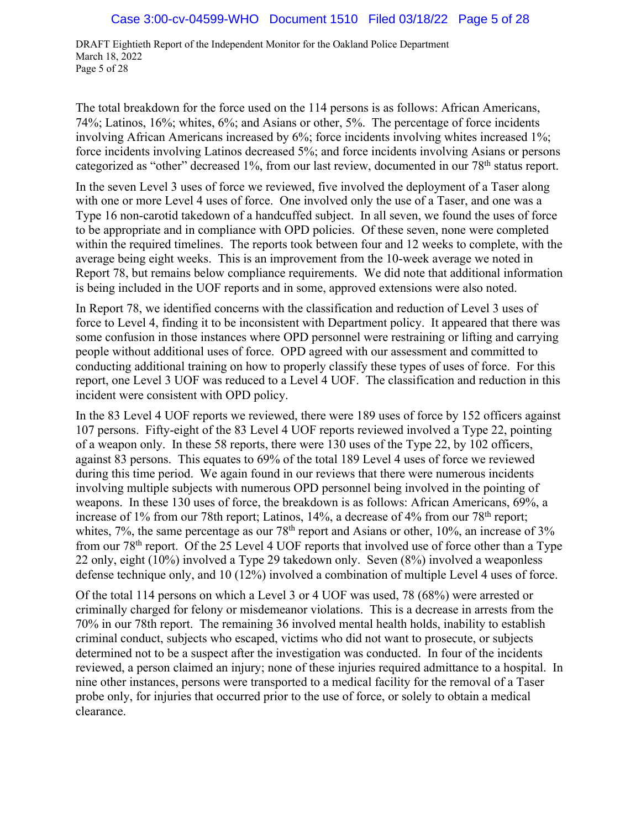DRAFT Eightieth Report of the Independent Monitor for the Oakland Police Department March 18, 2022 Page 5 of 28

The total breakdown for the force used on the 114 persons is as follows: African Americans, 74%; Latinos, 16%; whites, 6%; and Asians or other, 5%. The percentage of force incidents involving African Americans increased by 6%; force incidents involving whites increased 1%; force incidents involving Latinos decreased 5%; and force incidents involving Asians or persons categorized as "other" decreased 1%, from our last review, documented in our 78<sup>th</sup> status report.

In the seven Level 3 uses of force we reviewed, five involved the deployment of a Taser along with one or more Level 4 uses of force. One involved only the use of a Taser, and one was a Type 16 non-carotid takedown of a handcuffed subject. In all seven, we found the uses of force to be appropriate and in compliance with OPD policies. Of these seven, none were completed within the required timelines. The reports took between four and 12 weeks to complete, with the average being eight weeks. This is an improvement from the 10-week average we noted in Report 78, but remains below compliance requirements. We did note that additional information is being included in the UOF reports and in some, approved extensions were also noted.

In Report 78, we identified concerns with the classification and reduction of Level 3 uses of force to Level 4, finding it to be inconsistent with Department policy. It appeared that there was some confusion in those instances where OPD personnel were restraining or lifting and carrying people without additional uses of force. OPD agreed with our assessment and committed to conducting additional training on how to properly classify these types of uses of force. For this report, one Level 3 UOF was reduced to a Level 4 UOF. The classification and reduction in this incident were consistent with OPD policy.

In the 83 Level 4 UOF reports we reviewed, there were 189 uses of force by 152 officers against 107 persons. Fifty-eight of the 83 Level 4 UOF reports reviewed involved a Type 22, pointing of a weapon only. In these 58 reports, there were 130 uses of the Type 22, by 102 officers, against 83 persons. This equates to 69% of the total 189 Level 4 uses of force we reviewed during this time period. We again found in our reviews that there were numerous incidents involving multiple subjects with numerous OPD personnel being involved in the pointing of weapons. In these 130 uses of force, the breakdown is as follows: African Americans, 69%, a increase of 1% from our 78th report; Latinos, 14%, a decrease of 4% from our 78th report; whites, 7%, the same percentage as our  $78<sup>th</sup>$  report and Asians or other, 10%, an increase of 3% from our 78th report. Of the 25 Level 4 UOF reports that involved use of force other than a Type 22 only, eight (10%) involved a Type 29 takedown only. Seven (8%) involved a weaponless defense technique only, and 10 (12%) involved a combination of multiple Level 4 uses of force.

Of the total 114 persons on which a Level 3 or 4 UOF was used, 78 (68%) were arrested or criminally charged for felony or misdemeanor violations. This is a decrease in arrests from the 70% in our 78th report. The remaining 36 involved mental health holds, inability to establish criminal conduct, subjects who escaped, victims who did not want to prosecute, or subjects determined not to be a suspect after the investigation was conducted. In four of the incidents reviewed, a person claimed an injury; none of these injuries required admittance to a hospital. In nine other instances, persons were transported to a medical facility for the removal of a Taser probe only, for injuries that occurred prior to the use of force, or solely to obtain a medical clearance.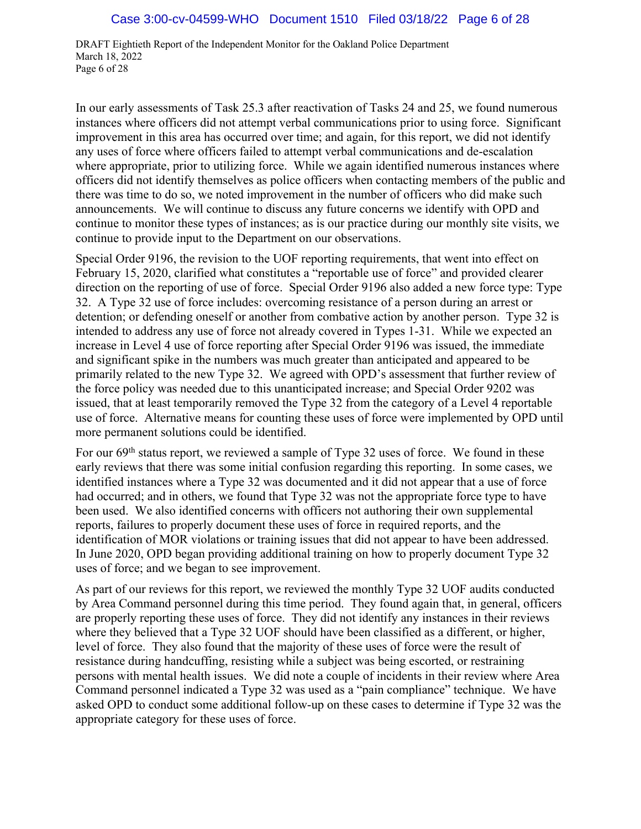DRAFT Eightieth Report of the Independent Monitor for the Oakland Police Department March 18, 2022 Page 6 of 28

In our early assessments of Task 25.3 after reactivation of Tasks 24 and 25, we found numerous instances where officers did not attempt verbal communications prior to using force. Significant improvement in this area has occurred over time; and again, for this report, we did not identify any uses of force where officers failed to attempt verbal communications and de-escalation where appropriate, prior to utilizing force. While we again identified numerous instances where officers did not identify themselves as police officers when contacting members of the public and there was time to do so, we noted improvement in the number of officers who did make such announcements. We will continue to discuss any future concerns we identify with OPD and continue to monitor these types of instances; as is our practice during our monthly site visits, we continue to provide input to the Department on our observations.

Special Order 9196, the revision to the UOF reporting requirements, that went into effect on February 15, 2020, clarified what constitutes a "reportable use of force" and provided clearer direction on the reporting of use of force. Special Order 9196 also added a new force type: Type 32. A Type 32 use of force includes: overcoming resistance of a person during an arrest or detention; or defending oneself or another from combative action by another person. Type 32 is intended to address any use of force not already covered in Types 1-31. While we expected an increase in Level 4 use of force reporting after Special Order 9196 was issued, the immediate and significant spike in the numbers was much greater than anticipated and appeared to be primarily related to the new Type 32. We agreed with OPD's assessment that further review of the force policy was needed due to this unanticipated increase; and Special Order 9202 was issued, that at least temporarily removed the Type 32 from the category of a Level 4 reportable use of force. Alternative means for counting these uses of force were implemented by OPD until more permanent solutions could be identified.

For our 69<sup>th</sup> status report, we reviewed a sample of Type 32 uses of force. We found in these early reviews that there was some initial confusion regarding this reporting. In some cases, we identified instances where a Type 32 was documented and it did not appear that a use of force had occurred; and in others, we found that Type 32 was not the appropriate force type to have been used. We also identified concerns with officers not authoring their own supplemental reports, failures to properly document these uses of force in required reports, and the identification of MOR violations or training issues that did not appear to have been addressed. In June 2020, OPD began providing additional training on how to properly document Type 32 uses of force; and we began to see improvement.

As part of our reviews for this report, we reviewed the monthly Type 32 UOF audits conducted by Area Command personnel during this time period. They found again that, in general, officers are properly reporting these uses of force. They did not identify any instances in their reviews where they believed that a Type 32 UOF should have been classified as a different, or higher, level of force. They also found that the majority of these uses of force were the result of resistance during handcuffing, resisting while a subject was being escorted, or restraining persons with mental health issues. We did note a couple of incidents in their review where Area Command personnel indicated a Type 32 was used as a "pain compliance" technique. We have asked OPD to conduct some additional follow-up on these cases to determine if Type 32 was the appropriate category for these uses of force.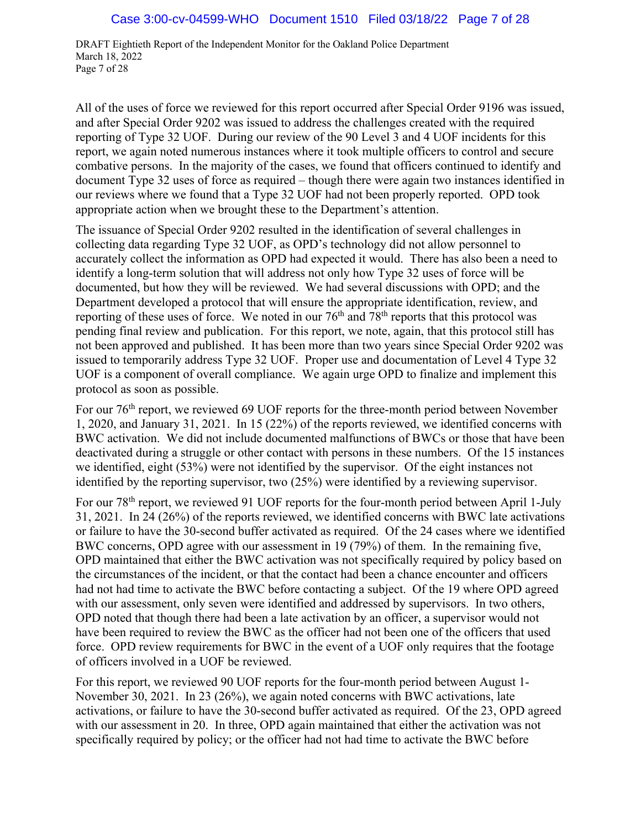DRAFT Eightieth Report of the Independent Monitor for the Oakland Police Department March 18, 2022 Page 7 of 28

All of the uses of force we reviewed for this report occurred after Special Order 9196 was issued, and after Special Order 9202 was issued to address the challenges created with the required reporting of Type 32 UOF. During our review of the 90 Level 3 and 4 UOF incidents for this report, we again noted numerous instances where it took multiple officers to control and secure combative persons. In the majority of the cases, we found that officers continued to identify and document Type 32 uses of force as required – though there were again two instances identified in our reviews where we found that a Type 32 UOF had not been properly reported. OPD took appropriate action when we brought these to the Department's attention.

The issuance of Special Order 9202 resulted in the identification of several challenges in collecting data regarding Type 32 UOF, as OPD's technology did not allow personnel to accurately collect the information as OPD had expected it would. There has also been a need to identify a long-term solution that will address not only how Type 32 uses of force will be documented, but how they will be reviewed. We had several discussions with OPD; and the Department developed a protocol that will ensure the appropriate identification, review, and reporting of these uses of force. We noted in our 76<sup>th</sup> and 78<sup>th</sup> reports that this protocol was pending final review and publication. For this report, we note, again, that this protocol still has not been approved and published. It has been more than two years since Special Order 9202 was issued to temporarily address Type 32 UOF. Proper use and documentation of Level 4 Type 32 UOF is a component of overall compliance. We again urge OPD to finalize and implement this protocol as soon as possible.

For our 76th report, we reviewed 69 UOF reports for the three-month period between November 1, 2020, and January 31, 2021. In 15 (22%) of the reports reviewed, we identified concerns with BWC activation. We did not include documented malfunctions of BWCs or those that have been deactivated during a struggle or other contact with persons in these numbers. Of the 15 instances we identified, eight (53%) were not identified by the supervisor. Of the eight instances not identified by the reporting supervisor, two (25%) were identified by a reviewing supervisor.

For our 78<sup>th</sup> report, we reviewed 91 UOF reports for the four-month period between April 1-July 31, 2021. In 24 (26%) of the reports reviewed, we identified concerns with BWC late activations or failure to have the 30-second buffer activated as required. Of the 24 cases where we identified BWC concerns, OPD agree with our assessment in 19 (79%) of them. In the remaining five, OPD maintained that either the BWC activation was not specifically required by policy based on the circumstances of the incident, or that the contact had been a chance encounter and officers had not had time to activate the BWC before contacting a subject. Of the 19 where OPD agreed with our assessment, only seven were identified and addressed by supervisors. In two others, OPD noted that though there had been a late activation by an officer, a supervisor would not have been required to review the BWC as the officer had not been one of the officers that used force. OPD review requirements for BWC in the event of a UOF only requires that the footage of officers involved in a UOF be reviewed.

For this report, we reviewed 90 UOF reports for the four-month period between August 1- November 30, 2021. In 23 (26%), we again noted concerns with BWC activations, late activations, or failure to have the 30-second buffer activated as required. Of the 23, OPD agreed with our assessment in 20. In three, OPD again maintained that either the activation was not specifically required by policy; or the officer had not had time to activate the BWC before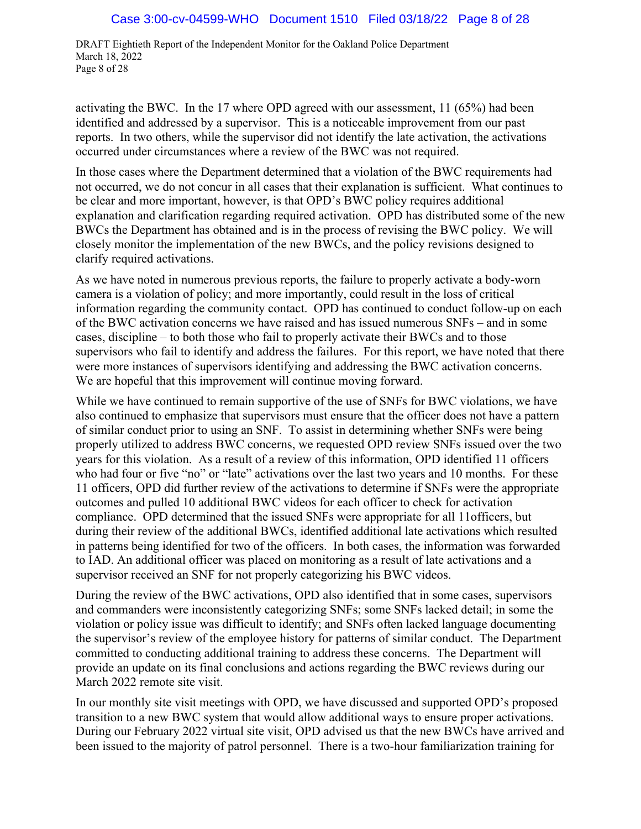DRAFT Eightieth Report of the Independent Monitor for the Oakland Police Department March 18, 2022 Page 8 of 28

activating the BWC. In the 17 where OPD agreed with our assessment, 11 (65%) had been identified and addressed by a supervisor. This is a noticeable improvement from our past reports. In two others, while the supervisor did not identify the late activation, the activations occurred under circumstances where a review of the BWC was not required.

In those cases where the Department determined that a violation of the BWC requirements had not occurred, we do not concur in all cases that their explanation is sufficient. What continues to be clear and more important, however, is that OPD's BWC policy requires additional explanation and clarification regarding required activation. OPD has distributed some of the new BWCs the Department has obtained and is in the process of revising the BWC policy. We will closely monitor the implementation of the new BWCs, and the policy revisions designed to clarify required activations.

As we have noted in numerous previous reports, the failure to properly activate a body-worn camera is a violation of policy; and more importantly, could result in the loss of critical information regarding the community contact. OPD has continued to conduct follow-up on each of the BWC activation concerns we have raised and has issued numerous SNFs – and in some cases, discipline – to both those who fail to properly activate their BWCs and to those supervisors who fail to identify and address the failures. For this report, we have noted that there were more instances of supervisors identifying and addressing the BWC activation concerns. We are hopeful that this improvement will continue moving forward.

While we have continued to remain supportive of the use of SNFs for BWC violations, we have also continued to emphasize that supervisors must ensure that the officer does not have a pattern of similar conduct prior to using an SNF. To assist in determining whether SNFs were being properly utilized to address BWC concerns, we requested OPD review SNFs issued over the two years for this violation. As a result of a review of this information, OPD identified 11 officers who had four or five "no" or "late" activations over the last two years and 10 months. For these 11 officers, OPD did further review of the activations to determine if SNFs were the appropriate outcomes and pulled 10 additional BWC videos for each officer to check for activation compliance. OPD determined that the issued SNFs were appropriate for all 11officers, but during their review of the additional BWCs, identified additional late activations which resulted in patterns being identified for two of the officers. In both cases, the information was forwarded to IAD. An additional officer was placed on monitoring as a result of late activations and a supervisor received an SNF for not properly categorizing his BWC videos.

During the review of the BWC activations, OPD also identified that in some cases, supervisors and commanders were inconsistently categorizing SNFs; some SNFs lacked detail; in some the violation or policy issue was difficult to identify; and SNFs often lacked language documenting the supervisor's review of the employee history for patterns of similar conduct. The Department committed to conducting additional training to address these concerns. The Department will provide an update on its final conclusions and actions regarding the BWC reviews during our March 2022 remote site visit.

In our monthly site visit meetings with OPD, we have discussed and supported OPD's proposed transition to a new BWC system that would allow additional ways to ensure proper activations. During our February 2022 virtual site visit, OPD advised us that the new BWCs have arrived and been issued to the majority of patrol personnel. There is a two-hour familiarization training for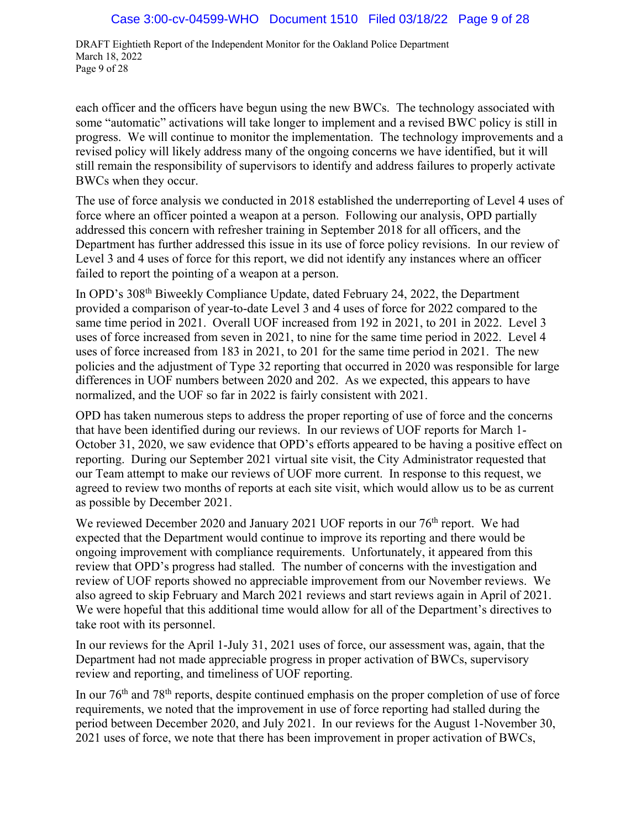DRAFT Eightieth Report of the Independent Monitor for the Oakland Police Department March 18, 2022 Page 9 of 28

each officer and the officers have begun using the new BWCs. The technology associated with some "automatic" activations will take longer to implement and a revised BWC policy is still in progress. We will continue to monitor the implementation. The technology improvements and a revised policy will likely address many of the ongoing concerns we have identified, but it will still remain the responsibility of supervisors to identify and address failures to properly activate BWCs when they occur.

The use of force analysis we conducted in 2018 established the underreporting of Level 4 uses of force where an officer pointed a weapon at a person. Following our analysis, OPD partially addressed this concern with refresher training in September 2018 for all officers, and the Department has further addressed this issue in its use of force policy revisions. In our review of Level 3 and 4 uses of force for this report, we did not identify any instances where an officer failed to report the pointing of a weapon at a person.

In OPD's 308th Biweekly Compliance Update, dated February 24, 2022, the Department provided a comparison of year-to-date Level 3 and 4 uses of force for 2022 compared to the same time period in 2021. Overall UOF increased from 192 in 2021, to 201 in 2022. Level 3 uses of force increased from seven in 2021, to nine for the same time period in 2022. Level 4 uses of force increased from 183 in 2021, to 201 for the same time period in 2021. The new policies and the adjustment of Type 32 reporting that occurred in 2020 was responsible for large differences in UOF numbers between 2020 and 202. As we expected, this appears to have normalized, and the UOF so far in 2022 is fairly consistent with 2021.

OPD has taken numerous steps to address the proper reporting of use of force and the concerns that have been identified during our reviews. In our reviews of UOF reports for March 1- October 31, 2020, we saw evidence that OPD's efforts appeared to be having a positive effect on reporting. During our September 2021 virtual site visit, the City Administrator requested that our Team attempt to make our reviews of UOF more current. In response to this request, we agreed to review two months of reports at each site visit, which would allow us to be as current as possible by December 2021.

We reviewed December 2020 and January 2021 UOF reports in our 76<sup>th</sup> report. We had expected that the Department would continue to improve its reporting and there would be ongoing improvement with compliance requirements. Unfortunately, it appeared from this review that OPD's progress had stalled. The number of concerns with the investigation and review of UOF reports showed no appreciable improvement from our November reviews. We also agreed to skip February and March 2021 reviews and start reviews again in April of 2021. We were hopeful that this additional time would allow for all of the Department's directives to take root with its personnel.

In our reviews for the April 1-July 31, 2021 uses of force, our assessment was, again, that the Department had not made appreciable progress in proper activation of BWCs, supervisory review and reporting, and timeliness of UOF reporting.

In our 76th and 78th reports, despite continued emphasis on the proper completion of use of force requirements, we noted that the improvement in use of force reporting had stalled during the period between December 2020, and July 2021. In our reviews for the August 1-November 30, 2021 uses of force, we note that there has been improvement in proper activation of BWCs,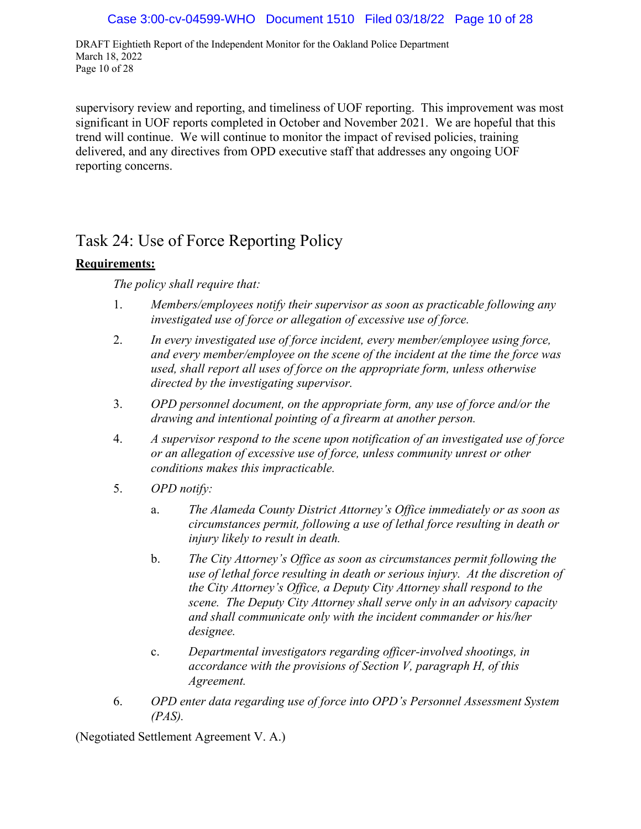DRAFT Eightieth Report of the Independent Monitor for the Oakland Police Department March 18, 2022 Page 10 of 28

supervisory review and reporting, and timeliness of UOF reporting. This improvement was most significant in UOF reports completed in October and November 2021. We are hopeful that this trend will continue. We will continue to monitor the impact of revised policies, training delivered, and any directives from OPD executive staff that addresses any ongoing UOF reporting concerns.

## Task 24: Use of Force Reporting Policy

## **Requirements:**

*The policy shall require that:* 

- 1. *Members/employees notify their supervisor as soon as practicable following any investigated use of force or allegation of excessive use of force.*
- 2. *In every investigated use of force incident, every member/employee using force, and every member/employee on the scene of the incident at the time the force was used, shall report all uses of force on the appropriate form, unless otherwise directed by the investigating supervisor.*
- 3. *OPD personnel document, on the appropriate form, any use of force and/or the drawing and intentional pointing of a firearm at another person.*
- 4. *A supervisor respond to the scene upon notification of an investigated use of force or an allegation of excessive use of force, unless community unrest or other conditions makes this impracticable.*
- 5. *OPD notify:*
	- a. *The Alameda County District Attorney's Office immediately or as soon as circumstances permit, following a use of lethal force resulting in death or injury likely to result in death.*
	- b. *The City Attorney's Office as soon as circumstances permit following the use of lethal force resulting in death or serious injury. At the discretion of the City Attorney's Office, a Deputy City Attorney shall respond to the scene. The Deputy City Attorney shall serve only in an advisory capacity and shall communicate only with the incident commander or his/her designee.*
	- c. *Departmental investigators regarding officer-involved shootings, in accordance with the provisions of Section V, paragraph H, of this Agreement.*
- 6. *OPD enter data regarding use of force into OPD's Personnel Assessment System (PAS).*

(Negotiated Settlement Agreement V. A.)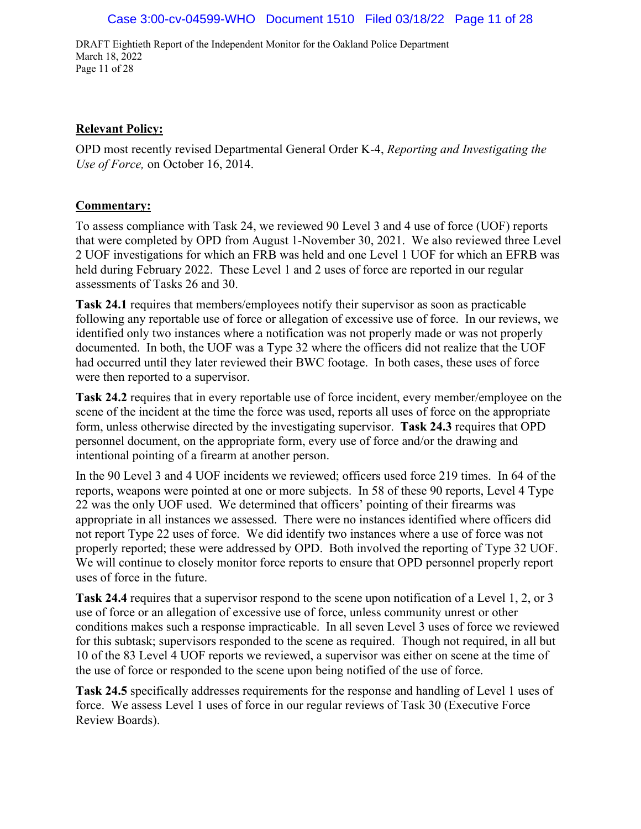DRAFT Eightieth Report of the Independent Monitor for the Oakland Police Department March 18, 2022 Page 11 of 28

#### **Relevant Policy:**

OPD most recently revised Departmental General Order K-4, *Reporting and Investigating the Use of Force,* on October 16, 2014.

## **Commentary:**

To assess compliance with Task 24, we reviewed 90 Level 3 and 4 use of force (UOF) reports that were completed by OPD from August 1-November 30, 2021. We also reviewed three Level 2 UOF investigations for which an FRB was held and one Level 1 UOF for which an EFRB was held during February 2022. These Level 1 and 2 uses of force are reported in our regular assessments of Tasks 26 and 30.

**Task 24.1** requires that members/employees notify their supervisor as soon as practicable following any reportable use of force or allegation of excessive use of force. In our reviews, we identified only two instances where a notification was not properly made or was not properly documented. In both, the UOF was a Type 32 where the officers did not realize that the UOF had occurred until they later reviewed their BWC footage. In both cases, these uses of force were then reported to a supervisor.

**Task 24.2** requires that in every reportable use of force incident, every member/employee on the scene of the incident at the time the force was used, reports all uses of force on the appropriate form, unless otherwise directed by the investigating supervisor. **Task 24.3** requires that OPD personnel document, on the appropriate form, every use of force and/or the drawing and intentional pointing of a firearm at another person.

In the 90 Level 3 and 4 UOF incidents we reviewed; officers used force 219 times. In 64 of the reports, weapons were pointed at one or more subjects. In 58 of these 90 reports, Level 4 Type 22 was the only UOF used. We determined that officers' pointing of their firearms was appropriate in all instances we assessed. There were no instances identified where officers did not report Type 22 uses of force. We did identify two instances where a use of force was not properly reported; these were addressed by OPD. Both involved the reporting of Type 32 UOF. We will continue to closely monitor force reports to ensure that OPD personnel properly report uses of force in the future.

**Task 24.4** requires that a supervisor respond to the scene upon notification of a Level 1, 2, or 3 use of force or an allegation of excessive use of force, unless community unrest or other conditions makes such a response impracticable. In all seven Level 3 uses of force we reviewed for this subtask; supervisors responded to the scene as required. Though not required, in all but 10 of the 83 Level 4 UOF reports we reviewed, a supervisor was either on scene at the time of the use of force or responded to the scene upon being notified of the use of force.

**Task 24.5** specifically addresses requirements for the response and handling of Level 1 uses of force. We assess Level 1 uses of force in our regular reviews of Task 30 (Executive Force Review Boards).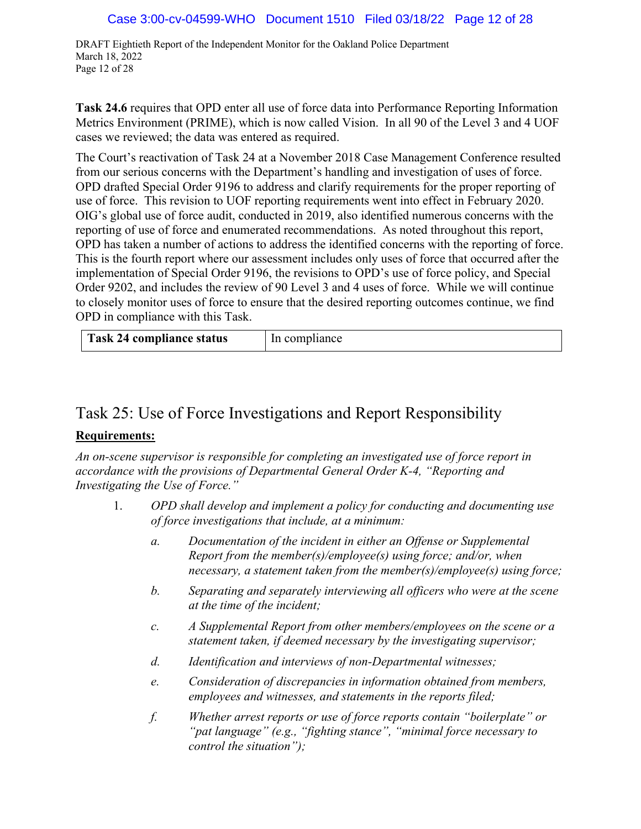DRAFT Eightieth Report of the Independent Monitor for the Oakland Police Department March 18, 2022 Page 12 of 28

**Task 24.6** requires that OPD enter all use of force data into Performance Reporting Information Metrics Environment (PRIME), which is now called Vision. In all 90 of the Level 3 and 4 UOF cases we reviewed; the data was entered as required.

The Court's reactivation of Task 24 at a November 2018 Case Management Conference resulted from our serious concerns with the Department's handling and investigation of uses of force. OPD drafted Special Order 9196 to address and clarify requirements for the proper reporting of use of force. This revision to UOF reporting requirements went into effect in February 2020. OIG's global use of force audit, conducted in 2019, also identified numerous concerns with the reporting of use of force and enumerated recommendations. As noted throughout this report, OPD has taken a number of actions to address the identified concerns with the reporting of force. This is the fourth report where our assessment includes only uses of force that occurred after the implementation of Special Order 9196, the revisions to OPD's use of force policy, and Special Order 9202, and includes the review of 90 Level 3 and 4 uses of force. While we will continue to closely monitor uses of force to ensure that the desired reporting outcomes continue, we find OPD in compliance with this Task.

| Task 24 compliance status | In compliance |
|---------------------------|---------------|
|---------------------------|---------------|

## Task 25: Use of Force Investigations and Report Responsibility

## **Requirements:**

*An on-scene supervisor is responsible for completing an investigated use of force report in accordance with the provisions of Departmental General Order K-4, "Reporting and Investigating the Use of Force."* 

- 1. *OPD shall develop and implement a policy for conducting and documenting use of force investigations that include, at a minimum:*
	- *a. Documentation of the incident in either an Offense or Supplemental Report from the member(s)/employee(s) using force; and/or, when necessary, a statement taken from the member(s)/employee(s) using force;*
	- *b. Separating and separately interviewing all officers who were at the scene at the time of the incident;*
	- *c. A Supplemental Report from other members/employees on the scene or a statement taken, if deemed necessary by the investigating supervisor;*
	- *d. Identification and interviews of non-Departmental witnesses;*
	- *e. Consideration of discrepancies in information obtained from members, employees and witnesses, and statements in the reports filed;*
	- *f. Whether arrest reports or use of force reports contain "boilerplate" or "pat language" (e.g., "fighting stance", "minimal force necessary to control the situation");*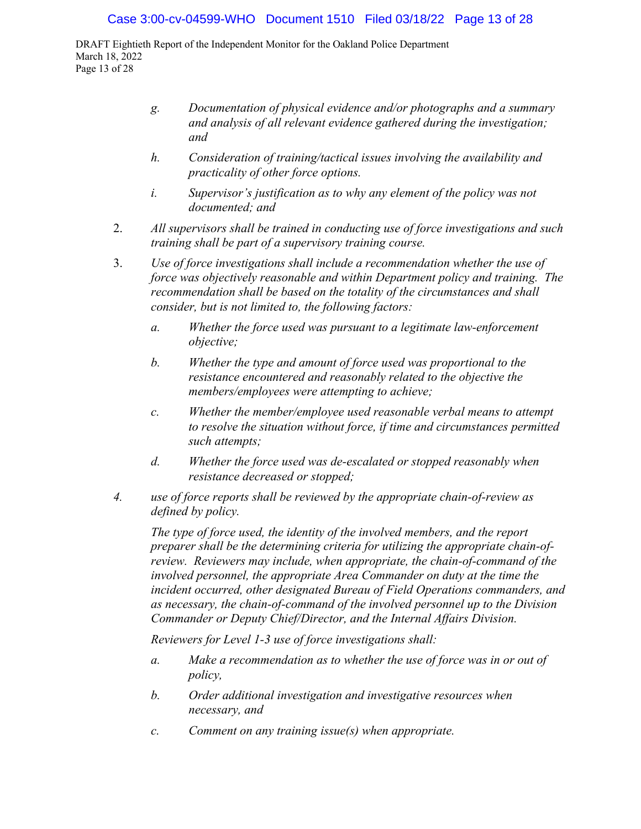DRAFT Eightieth Report of the Independent Monitor for the Oakland Police Department March 18, 2022 Page 13 of 28

- *g. Documentation of physical evidence and/or photographs and a summary and analysis of all relevant evidence gathered during the investigation; and*
- *h. Consideration of training/tactical issues involving the availability and practicality of other force options.*
- *i. Supervisor's justification as to why any element of the policy was not documented; and*
- 2. *All supervisors shall be trained in conducting use of force investigations and such training shall be part of a supervisory training course.*
- 3. *Use of force investigations shall include a recommendation whether the use of force was objectively reasonable and within Department policy and training. The recommendation shall be based on the totality of the circumstances and shall consider, but is not limited to, the following factors:*
	- *a. Whether the force used was pursuant to a legitimate law-enforcement objective;*
	- *b. Whether the type and amount of force used was proportional to the resistance encountered and reasonably related to the objective the members/employees were attempting to achieve;*
	- *c. Whether the member/employee used reasonable verbal means to attempt to resolve the situation without force, if time and circumstances permitted such attempts;*
	- *d. Whether the force used was de-escalated or stopped reasonably when resistance decreased or stopped;*
- *4. use of force reports shall be reviewed by the appropriate chain-of-review as defined by policy.*

*The type of force used, the identity of the involved members, and the report preparer shall be the determining criteria for utilizing the appropriate chain-ofreview. Reviewers may include, when appropriate, the chain-of-command of the involved personnel, the appropriate Area Commander on duty at the time the incident occurred, other designated Bureau of Field Operations commanders, and as necessary, the chain-of-command of the involved personnel up to the Division Commander or Deputy Chief/Director, and the Internal Affairs Division.* 

*Reviewers for Level 1-3 use of force investigations shall:*

- *a. Make a recommendation as to whether the use of force was in or out of policy,*
- *b. Order additional investigation and investigative resources when necessary, and*
- *c. Comment on any training issue(s) when appropriate.*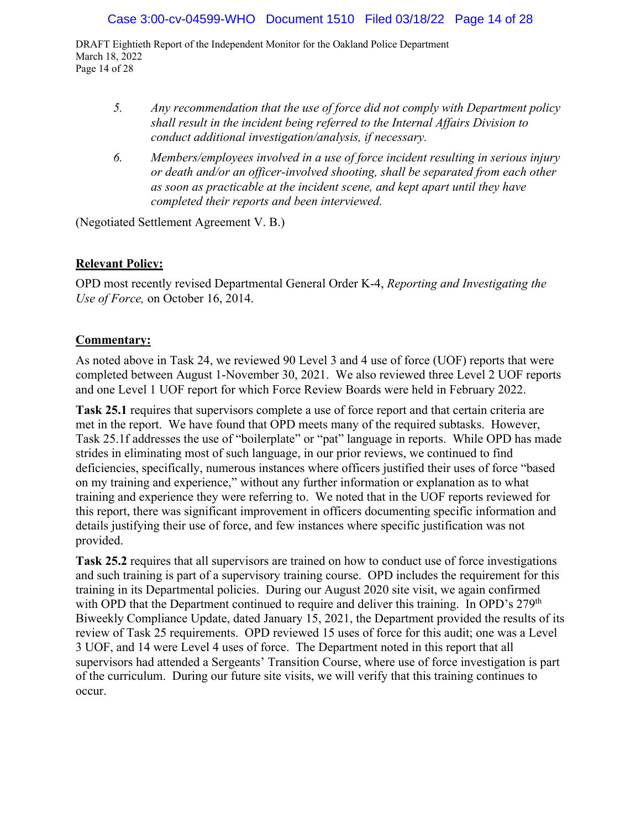DRAFT Eightieth Report of the Independent Monitor for the Oakland Police Department March 18, 2022 Page 14 of 28

- *5. Any recommendation that the use of force did not comply with Department policy shall result in the incident being referred to the Internal Affairs Division to conduct additional investigation/analysis, if necessary.*
- *6. Members/employees involved in a use of force incident resulting in serious injury or death and/or an officer-involved shooting, shall be separated from each other as soon as practicable at the incident scene, and kept apart until they have completed their reports and been interviewed.*

(Negotiated Settlement Agreement V. B.)

## **Relevant Policy:**

OPD most recently revised Departmental General Order K-4, *Reporting and Investigating the Use of Force,* on October 16, 2014.

## **Commentary:**

As noted above in Task 24, we reviewed 90 Level 3 and 4 use of force (UOF) reports that were completed between August 1-November 30, 2021. We also reviewed three Level 2 UOF reports and one Level 1 UOF report for which Force Review Boards were held in February 2022.

**Task 25.1** requires that supervisors complete a use of force report and that certain criteria are met in the report. We have found that OPD meets many of the required subtasks. However, Task 25.1f addresses the use of "boilerplate" or "pat" language in reports. While OPD has made strides in eliminating most of such language, in our prior reviews, we continued to find deficiencies, specifically, numerous instances where officers justified their uses of force "based on my training and experience," without any further information or explanation as to what training and experience they were referring to. We noted that in the UOF reports reviewed for this report, there was significant improvement in officers documenting specific information and details justifying their use of force, and few instances where specific justification was not provided.

**Task 25.2** requires that all supervisors are trained on how to conduct use of force investigations and such training is part of a supervisory training course. OPD includes the requirement for this training in its Departmental policies. During our August 2020 site visit, we again confirmed with OPD that the Department continued to require and deliver this training. In OPD's 279<sup>th</sup> Biweekly Compliance Update, dated January 15, 2021, the Department provided the results of its review of Task 25 requirements. OPD reviewed 15 uses of force for this audit; one was a Level 3 UOF, and 14 were Level 4 uses of force. The Department noted in this report that all supervisors had attended a Sergeants' Transition Course, where use of force investigation is part of the curriculum. During our future site visits, we will verify that this training continues to occur.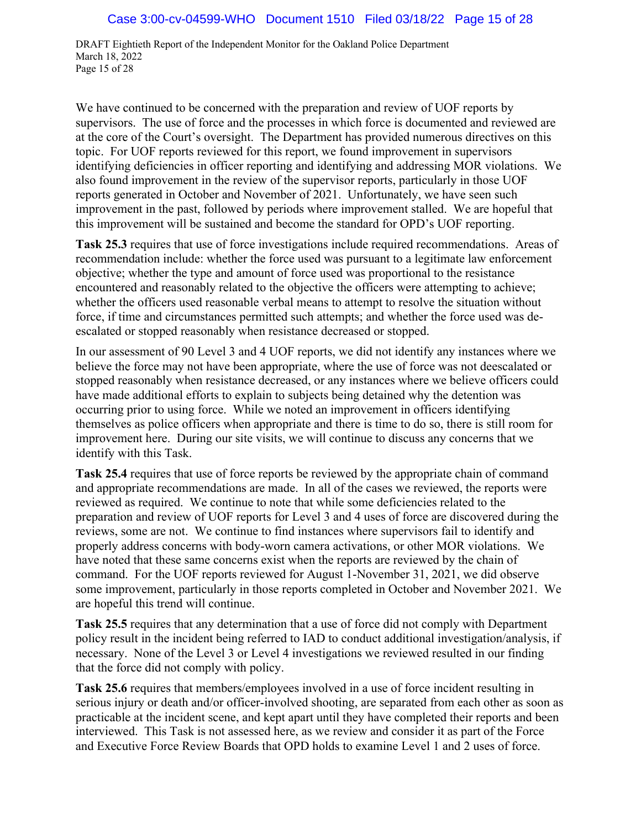DRAFT Eightieth Report of the Independent Monitor for the Oakland Police Department March 18, 2022 Page 15 of 28

We have continued to be concerned with the preparation and review of UOF reports by supervisors. The use of force and the processes in which force is documented and reviewed are at the core of the Court's oversight. The Department has provided numerous directives on this topic. For UOF reports reviewed for this report, we found improvement in supervisors identifying deficiencies in officer reporting and identifying and addressing MOR violations. We also found improvement in the review of the supervisor reports, particularly in those UOF reports generated in October and November of 2021. Unfortunately, we have seen such improvement in the past, followed by periods where improvement stalled. We are hopeful that this improvement will be sustained and become the standard for OPD's UOF reporting.

**Task 25.3** requires that use of force investigations include required recommendations. Areas of recommendation include: whether the force used was pursuant to a legitimate law enforcement objective; whether the type and amount of force used was proportional to the resistance encountered and reasonably related to the objective the officers were attempting to achieve; whether the officers used reasonable verbal means to attempt to resolve the situation without force, if time and circumstances permitted such attempts; and whether the force used was deescalated or stopped reasonably when resistance decreased or stopped.

In our assessment of 90 Level 3 and 4 UOF reports, we did not identify any instances where we believe the force may not have been appropriate, where the use of force was not deescalated or stopped reasonably when resistance decreased, or any instances where we believe officers could have made additional efforts to explain to subjects being detained why the detention was occurring prior to using force. While we noted an improvement in officers identifying themselves as police officers when appropriate and there is time to do so, there is still room for improvement here. During our site visits, we will continue to discuss any concerns that we identify with this Task.

**Task 25.4** requires that use of force reports be reviewed by the appropriate chain of command and appropriate recommendations are made. In all of the cases we reviewed, the reports were reviewed as required. We continue to note that while some deficiencies related to the preparation and review of UOF reports for Level 3 and 4 uses of force are discovered during the reviews, some are not. We continue to find instances where supervisors fail to identify and properly address concerns with body-worn camera activations, or other MOR violations. We have noted that these same concerns exist when the reports are reviewed by the chain of command. For the UOF reports reviewed for August 1-November 31, 2021, we did observe some improvement, particularly in those reports completed in October and November 2021. We are hopeful this trend will continue.

**Task 25.5** requires that any determination that a use of force did not comply with Department policy result in the incident being referred to IAD to conduct additional investigation/analysis, if necessary. None of the Level 3 or Level 4 investigations we reviewed resulted in our finding that the force did not comply with policy.

**Task 25.6** requires that members/employees involved in a use of force incident resulting in serious injury or death and/or officer-involved shooting, are separated from each other as soon as practicable at the incident scene, and kept apart until they have completed their reports and been interviewed. This Task is not assessed here, as we review and consider it as part of the Force and Executive Force Review Boards that OPD holds to examine Level 1 and 2 uses of force.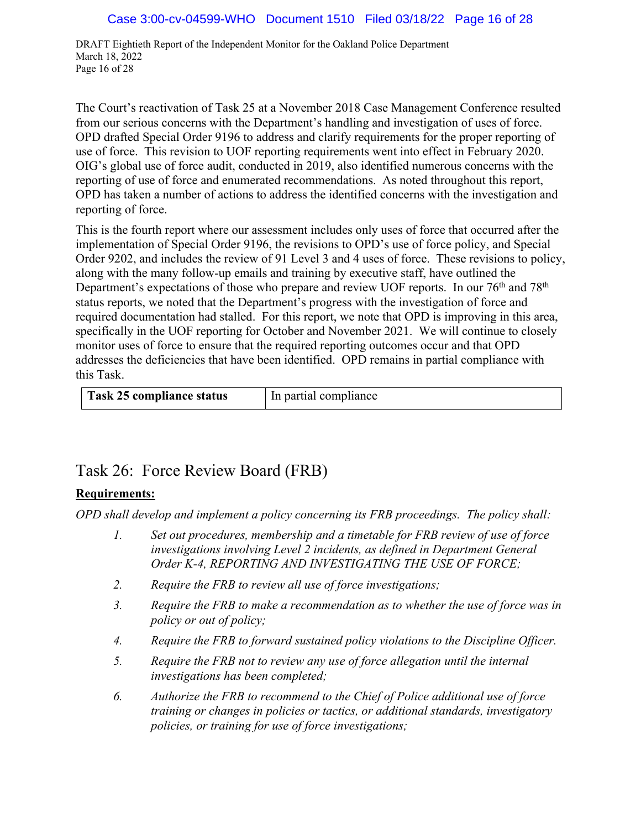DRAFT Eightieth Report of the Independent Monitor for the Oakland Police Department March 18, 2022 Page 16 of 28

The Court's reactivation of Task 25 at a November 2018 Case Management Conference resulted from our serious concerns with the Department's handling and investigation of uses of force. OPD drafted Special Order 9196 to address and clarify requirements for the proper reporting of use of force. This revision to UOF reporting requirements went into effect in February 2020. OIG's global use of force audit, conducted in 2019, also identified numerous concerns with the reporting of use of force and enumerated recommendations. As noted throughout this report, OPD has taken a number of actions to address the identified concerns with the investigation and reporting of force.

This is the fourth report where our assessment includes only uses of force that occurred after the implementation of Special Order 9196, the revisions to OPD's use of force policy, and Special Order 9202, and includes the review of 91 Level 3 and 4 uses of force. These revisions to policy, along with the many follow-up emails and training by executive staff, have outlined the Department's expectations of those who prepare and review UOF reports. In our 76<sup>th</sup> and 78<sup>th</sup> status reports, we noted that the Department's progress with the investigation of force and required documentation had stalled. For this report, we note that OPD is improving in this area, specifically in the UOF reporting for October and November 2021. We will continue to closely monitor uses of force to ensure that the required reporting outcomes occur and that OPD addresses the deficiencies that have been identified. OPD remains in partial compliance with this Task.

| Task 25 compliance status | In partial compliance |
|---------------------------|-----------------------|
|                           |                       |

## Task 26: Force Review Board (FRB)

## **Requirements:**

*OPD shall develop and implement a policy concerning its FRB proceedings. The policy shall:*

- *1. Set out procedures, membership and a timetable for FRB review of use of force investigations involving Level 2 incidents, as defined in Department General Order K-4, REPORTING AND INVESTIGATING THE USE OF FORCE;*
- *2. Require the FRB to review all use of force investigations;*
- *3. Require the FRB to make a recommendation as to whether the use of force was in policy or out of policy;*
- *4. Require the FRB to forward sustained policy violations to the Discipline Officer.*
- *5. Require the FRB not to review any use of force allegation until the internal investigations has been completed;*
- *6. Authorize the FRB to recommend to the Chief of Police additional use of force training or changes in policies or tactics, or additional standards, investigatory policies, or training for use of force investigations;*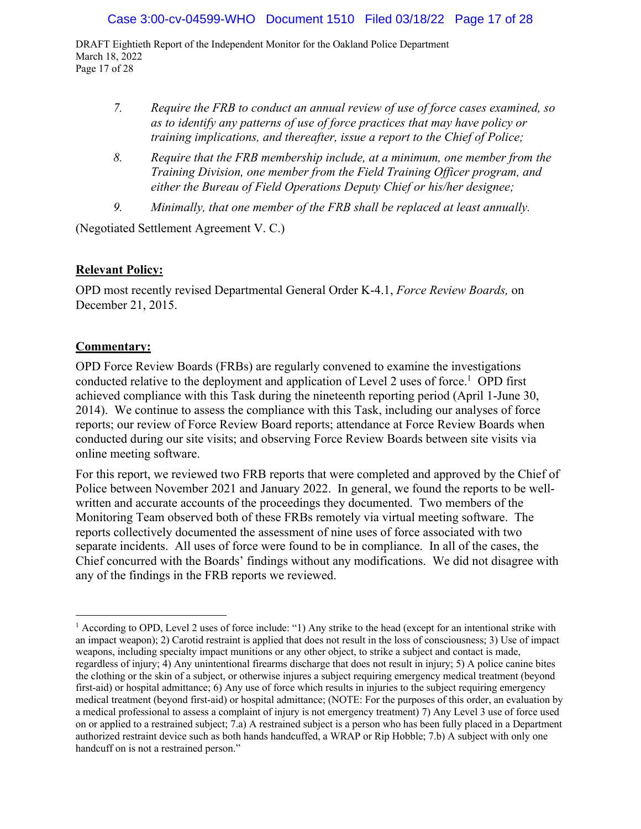DRAFT Eightieth Report of the Independent Monitor for the Oakland Police Department March 18, 2022 Page 17 of 28

- *7. Require the FRB to conduct an annual review of use of force cases examined, so as to identify any patterns of use of force practices that may have policy or training implications, and thereafter, issue a report to the Chief of Police;*
- *8. Require that the FRB membership include, at a minimum, one member from the Training Division, one member from the Field Training Officer program, and either the Bureau of Field Operations Deputy Chief or his/her designee;*
- *9. Minimally, that one member of the FRB shall be replaced at least annually.*

(Negotiated Settlement Agreement V. C.)

## **Relevant Policy:**

OPD most recently revised Departmental General Order K-4.1, *Force Review Boards,* on December 21, 2015.

## **Commentary:**

OPD Force Review Boards (FRBs) are regularly convened to examine the investigations conducted relative to the deployment and application of Level 2 uses of force.<sup>1</sup> OPD first achieved compliance with this Task during the nineteenth reporting period (April 1-June 30, 2014). We continue to assess the compliance with this Task, including our analyses of force reports; our review of Force Review Board reports; attendance at Force Review Boards when conducted during our site visits; and observing Force Review Boards between site visits via online meeting software.

For this report, we reviewed two FRB reports that were completed and approved by the Chief of Police between November 2021 and January 2022. In general, we found the reports to be wellwritten and accurate accounts of the proceedings they documented. Two members of the Monitoring Team observed both of these FRBs remotely via virtual meeting software. The reports collectively documented the assessment of nine uses of force associated with two separate incidents. All uses of force were found to be in compliance. In all of the cases, the Chief concurred with the Boards' findings without any modifications. We did not disagree with any of the findings in the FRB reports we reviewed.

<sup>&</sup>lt;sup>1</sup> According to OPD, Level 2 uses of force include: "1) Any strike to the head (except for an intentional strike with an impact weapon); 2) Carotid restraint is applied that does not result in the loss of consciousness; 3) Use of impact weapons, including specialty impact munitions or any other object, to strike a subject and contact is made, regardless of injury; 4) Any unintentional firearms discharge that does not result in injury; 5) A police canine bites the clothing or the skin of a subject, or otherwise injures a subject requiring emergency medical treatment (beyond first-aid) or hospital admittance; 6) Any use of force which results in injuries to the subject requiring emergency medical treatment (beyond first-aid) or hospital admittance; (NOTE: For the purposes of this order, an evaluation by a medical professional to assess a complaint of injury is not emergency treatment) 7) Any Level 3 use of force used on or applied to a restrained subject; 7.a) A restrained subject is a person who has been fully placed in a Department authorized restraint device such as both hands handcuffed, a WRAP or Rip Hobble; 7.b) A subject with only one handcuff on is not a restrained person."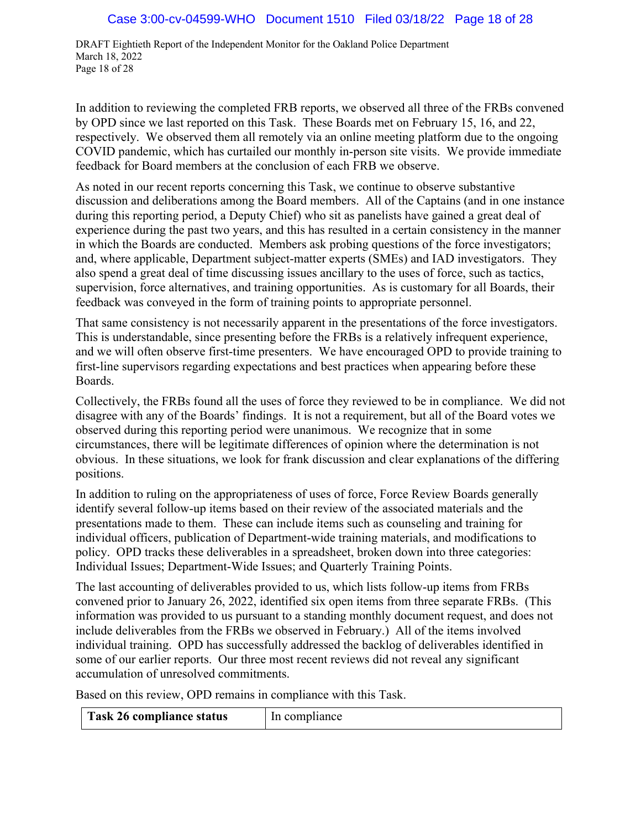DRAFT Eightieth Report of the Independent Monitor for the Oakland Police Department March 18, 2022 Page 18 of 28

In addition to reviewing the completed FRB reports, we observed all three of the FRBs convened by OPD since we last reported on this Task. These Boards met on February 15, 16, and 22, respectively. We observed them all remotely via an online meeting platform due to the ongoing COVID pandemic, which has curtailed our monthly in-person site visits. We provide immediate feedback for Board members at the conclusion of each FRB we observe.

As noted in our recent reports concerning this Task, we continue to observe substantive discussion and deliberations among the Board members. All of the Captains (and in one instance during this reporting period, a Deputy Chief) who sit as panelists have gained a great deal of experience during the past two years, and this has resulted in a certain consistency in the manner in which the Boards are conducted. Members ask probing questions of the force investigators; and, where applicable, Department subject-matter experts (SMEs) and IAD investigators. They also spend a great deal of time discussing issues ancillary to the uses of force, such as tactics, supervision, force alternatives, and training opportunities. As is customary for all Boards, their feedback was conveyed in the form of training points to appropriate personnel.

That same consistency is not necessarily apparent in the presentations of the force investigators. This is understandable, since presenting before the FRBs is a relatively infrequent experience, and we will often observe first-time presenters. We have encouraged OPD to provide training to first-line supervisors regarding expectations and best practices when appearing before these Boards.

Collectively, the FRBs found all the uses of force they reviewed to be in compliance. We did not disagree with any of the Boards' findings. It is not a requirement, but all of the Board votes we observed during this reporting period were unanimous. We recognize that in some circumstances, there will be legitimate differences of opinion where the determination is not obvious. In these situations, we look for frank discussion and clear explanations of the differing positions.

In addition to ruling on the appropriateness of uses of force, Force Review Boards generally identify several follow-up items based on their review of the associated materials and the presentations made to them. These can include items such as counseling and training for individual officers, publication of Department-wide training materials, and modifications to policy. OPD tracks these deliverables in a spreadsheet, broken down into three categories: Individual Issues; Department-Wide Issues; and Quarterly Training Points.

The last accounting of deliverables provided to us, which lists follow-up items from FRBs convened prior to January 26, 2022, identified six open items from three separate FRBs. (This information was provided to us pursuant to a standing monthly document request, and does not include deliverables from the FRBs we observed in February.) All of the items involved individual training. OPD has successfully addressed the backlog of deliverables identified in some of our earlier reports. Our three most recent reviews did not reveal any significant accumulation of unresolved commitments.

Based on this review, OPD remains in compliance with this Task.

| Task 26 compliance status | In compliance |
|---------------------------|---------------|
|---------------------------|---------------|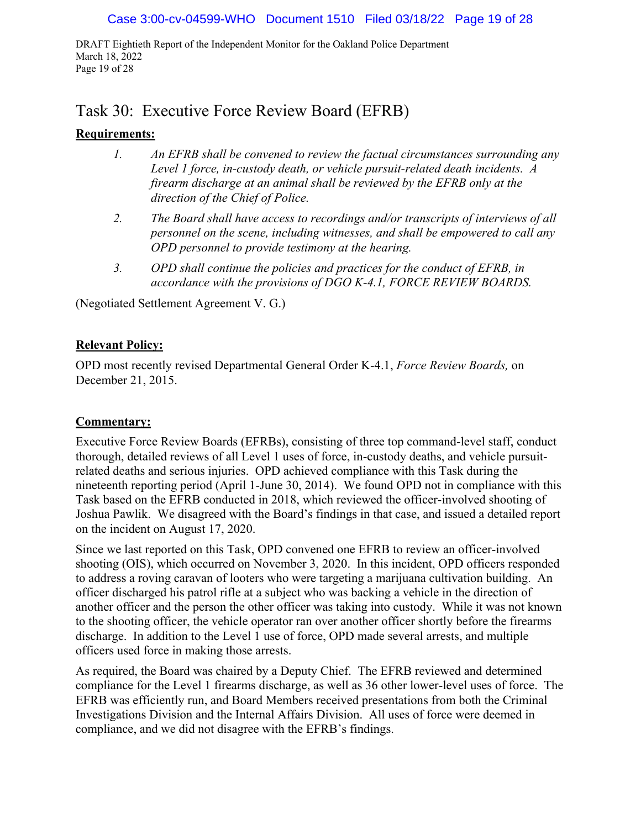DRAFT Eightieth Report of the Independent Monitor for the Oakland Police Department March 18, 2022 Page 19 of 28

## Task 30: Executive Force Review Board (EFRB)

## **Requirements:**

- *1. An EFRB shall be convened to review the factual circumstances surrounding any Level 1 force, in-custody death, or vehicle pursuit-related death incidents. A firearm discharge at an animal shall be reviewed by the EFRB only at the direction of the Chief of Police.*
- *2. The Board shall have access to recordings and/or transcripts of interviews of all personnel on the scene, including witnesses, and shall be empowered to call any OPD personnel to provide testimony at the hearing.*
- *3. OPD shall continue the policies and practices for the conduct of EFRB, in accordance with the provisions of DGO K-4.1, FORCE REVIEW BOARDS.*

(Negotiated Settlement Agreement V. G.)

## **Relevant Policy:**

OPD most recently revised Departmental General Order K-4.1, *Force Review Boards,* on December 21, 2015.

## **Commentary:**

Executive Force Review Boards (EFRBs), consisting of three top command-level staff, conduct thorough, detailed reviews of all Level 1 uses of force, in-custody deaths, and vehicle pursuitrelated deaths and serious injuries. OPD achieved compliance with this Task during the nineteenth reporting period (April 1-June 30, 2014). We found OPD not in compliance with this Task based on the EFRB conducted in 2018, which reviewed the officer-involved shooting of Joshua Pawlik. We disagreed with the Board's findings in that case, and issued a detailed report on the incident on August 17, 2020.

Since we last reported on this Task, OPD convened one EFRB to review an officer-involved shooting (OIS), which occurred on November 3, 2020. In this incident, OPD officers responded to address a roving caravan of looters who were targeting a marijuana cultivation building. An officer discharged his patrol rifle at a subject who was backing a vehicle in the direction of another officer and the person the other officer was taking into custody. While it was not known to the shooting officer, the vehicle operator ran over another officer shortly before the firearms discharge. In addition to the Level 1 use of force, OPD made several arrests, and multiple officers used force in making those arrests.

As required, the Board was chaired by a Deputy Chief. The EFRB reviewed and determined compliance for the Level 1 firearms discharge, as well as 36 other lower-level uses of force. The EFRB was efficiently run, and Board Members received presentations from both the Criminal Investigations Division and the Internal Affairs Division. All uses of force were deemed in compliance, and we did not disagree with the EFRB's findings.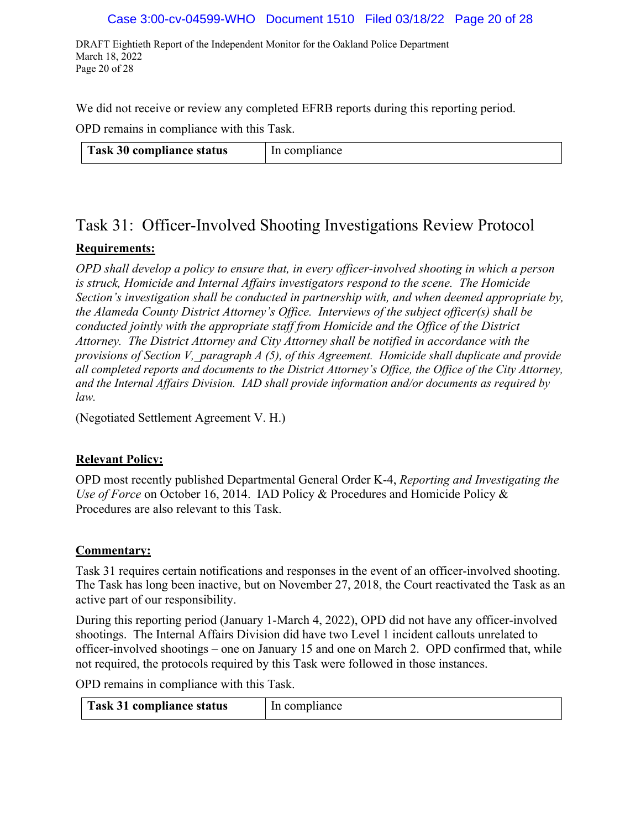#### Case 3:00-cv-04599-WHO Document 1510 Filed 03/18/22 Page 20 of 28

DRAFT Eightieth Report of the Independent Monitor for the Oakland Police Department March 18, 2022 Page 20 of 28

We did not receive or review any completed EFRB reports during this reporting period.

OPD remains in compliance with this Task.

| <sup>1</sup> Task 30 compliance status | In compliance |
|----------------------------------------|---------------|
|----------------------------------------|---------------|

# Task 31: Officer-Involved Shooting Investigations Review Protocol

## **Requirements:**

*OPD shall develop a policy to ensure that, in every officer-involved shooting in which a person is struck, Homicide and Internal Affairs investigators respond to the scene. The Homicide Section's investigation shall be conducted in partnership with, and when deemed appropriate by, the Alameda County District Attorney's Office. Interviews of the subject officer(s) shall be conducted jointly with the appropriate staff from Homicide and the Office of the District Attorney. The District Attorney and City Attorney shall be notified in accordance with the provisions of Section V,\_paragraph A (5), of this Agreement. Homicide shall duplicate and provide all completed reports and documents to the District Attorney's Office, the Office of the City Attorney, and the Internal Affairs Division. IAD shall provide information and/or documents as required by law.*

(Negotiated Settlement Agreement V. H.)

#### **Relevant Policy:**

OPD most recently published Departmental General Order K-4, *Reporting and Investigating the Use of Force* on October 16, 2014. IAD Policy & Procedures and Homicide Policy & Procedures are also relevant to this Task.

#### **Commentary:**

Task 31 requires certain notifications and responses in the event of an officer-involved shooting. The Task has long been inactive, but on November 27, 2018, the Court reactivated the Task as an active part of our responsibility.

During this reporting period (January 1-March 4, 2022), OPD did not have any officer-involved shootings. The Internal Affairs Division did have two Level 1 incident callouts unrelated to officer-involved shootings – one on January 15 and one on March 2. OPD confirmed that, while not required, the protocols required by this Task were followed in those instances.

OPD remains in compliance with this Task.

| Task 31 compliance status | In compliance |
|---------------------------|---------------|
|---------------------------|---------------|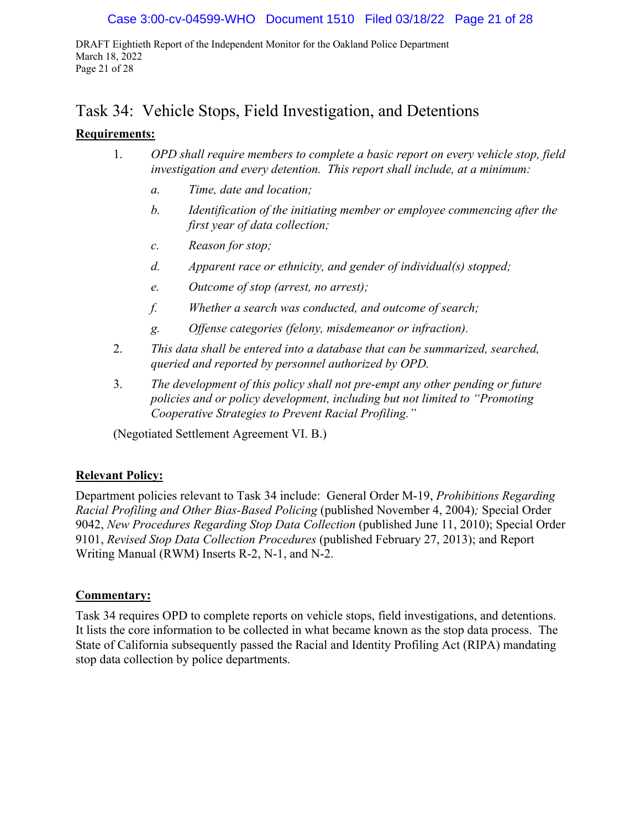DRAFT Eightieth Report of the Independent Monitor for the Oakland Police Department March 18, 2022 Page 21 of 28

## Task 34: Vehicle Stops, Field Investigation, and Detentions

## **Requirements:**

- 1. *OPD shall require members to complete a basic report on every vehicle stop, field investigation and every detention. This report shall include, at a minimum:*
	- *a. Time, date and location;*
	- *b. Identification of the initiating member or employee commencing after the first year of data collection;*
	- *c. Reason for stop;*
	- *d. Apparent race or ethnicity, and gender of individual(s) stopped;*
	- *e. Outcome of stop (arrest, no arrest);*
	- *f. Whether a search was conducted, and outcome of search;*
	- *g. Offense categories (felony, misdemeanor or infraction).*
- 2. *This data shall be entered into a database that can be summarized, searched, queried and reported by personnel authorized by OPD.*
- 3. *The development of this policy shall not pre-empt any other pending or future policies and or policy development, including but not limited to "Promoting Cooperative Strategies to Prevent Racial Profiling."*

(Negotiated Settlement Agreement VI. B.)

#### **Relevant Policy:**

Department policies relevant to Task 34 include: General Order M-19, *Prohibitions Regarding Racial Profiling and Other Bias-Based Policing* (published November 4, 2004)*;* Special Order 9042, *New Procedures Regarding Stop Data Collection* (published June 11, 2010); Special Order 9101, *Revised Stop Data Collection Procedures* (published February 27, 2013); and Report Writing Manual (RWM) Inserts R-2, N-1, and N-2.

#### **Commentary:**

Task 34 requires OPD to complete reports on vehicle stops, field investigations, and detentions. It lists the core information to be collected in what became known as the stop data process. The State of California subsequently passed the Racial and Identity Profiling Act (RIPA) mandating stop data collection by police departments.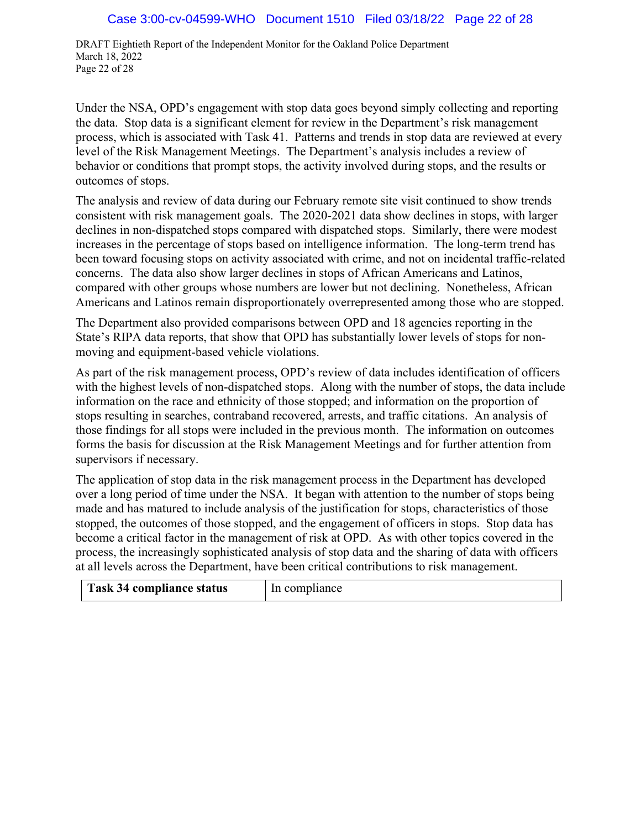DRAFT Eightieth Report of the Independent Monitor for the Oakland Police Department March 18, 2022 Page 22 of 28

Under the NSA, OPD's engagement with stop data goes beyond simply collecting and reporting the data. Stop data is a significant element for review in the Department's risk management process, which is associated with Task 41. Patterns and trends in stop data are reviewed at every level of the Risk Management Meetings. The Department's analysis includes a review of behavior or conditions that prompt stops, the activity involved during stops, and the results or outcomes of stops.

The analysis and review of data during our February remote site visit continued to show trends consistent with risk management goals. The 2020-2021 data show declines in stops, with larger declines in non-dispatched stops compared with dispatched stops. Similarly, there were modest increases in the percentage of stops based on intelligence information. The long-term trend has been toward focusing stops on activity associated with crime, and not on incidental traffic-related concerns. The data also show larger declines in stops of African Americans and Latinos, compared with other groups whose numbers are lower but not declining. Nonetheless, African Americans and Latinos remain disproportionately overrepresented among those who are stopped.

The Department also provided comparisons between OPD and 18 agencies reporting in the State's RIPA data reports, that show that OPD has substantially lower levels of stops for nonmoving and equipment-based vehicle violations.

As part of the risk management process, OPD's review of data includes identification of officers with the highest levels of non-dispatched stops. Along with the number of stops, the data include information on the race and ethnicity of those stopped; and information on the proportion of stops resulting in searches, contraband recovered, arrests, and traffic citations. An analysis of those findings for all stops were included in the previous month. The information on outcomes forms the basis for discussion at the Risk Management Meetings and for further attention from supervisors if necessary.

The application of stop data in the risk management process in the Department has developed over a long period of time under the NSA. It began with attention to the number of stops being made and has matured to include analysis of the justification for stops, characteristics of those stopped, the outcomes of those stopped, and the engagement of officers in stops. Stop data has become a critical factor in the management of risk at OPD. As with other topics covered in the process, the increasingly sophisticated analysis of stop data and the sharing of data with officers at all levels across the Department, have been critical contributions to risk management.

| Task 34 compliance status | In compliance |
|---------------------------|---------------|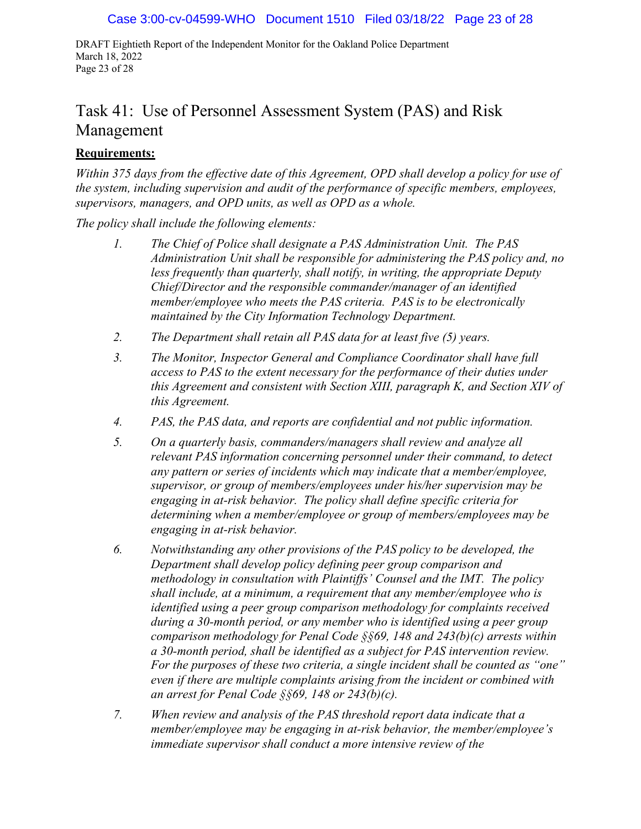DRAFT Eightieth Report of the Independent Monitor for the Oakland Police Department March 18, 2022 Page 23 of 28

## Task 41: Use of Personnel Assessment System (PAS) and Risk Management

#### **Requirements:**

*Within 375 days from the effective date of this Agreement, OPD shall develop a policy for use of the system, including supervision and audit of the performance of specific members, employees, supervisors, managers, and OPD units, as well as OPD as a whole.* 

*The policy shall include the following elements:*

- *1. The Chief of Police shall designate a PAS Administration Unit. The PAS Administration Unit shall be responsible for administering the PAS policy and, no less frequently than quarterly, shall notify, in writing, the appropriate Deputy Chief/Director and the responsible commander/manager of an identified member/employee who meets the PAS criteria. PAS is to be electronically maintained by the City Information Technology Department.*
- *2. The Department shall retain all PAS data for at least five (5) years.*
- *3. The Monitor, Inspector General and Compliance Coordinator shall have full access to PAS to the extent necessary for the performance of their duties under this Agreement and consistent with Section XIII, paragraph K, and Section XIV of this Agreement.*
- *4. PAS, the PAS data, and reports are confidential and not public information.*
- *5. On a quarterly basis, commanders/managers shall review and analyze all relevant PAS information concerning personnel under their command, to detect any pattern or series of incidents which may indicate that a member/employee, supervisor, or group of members/employees under his/her supervision may be engaging in at-risk behavior. The policy shall define specific criteria for determining when a member/employee or group of members/employees may be engaging in at-risk behavior.*
- *6. Notwithstanding any other provisions of the PAS policy to be developed, the Department shall develop policy defining peer group comparison and methodology in consultation with Plaintiffs' Counsel and the IMT. The policy shall include, at a minimum, a requirement that any member/employee who is identified using a peer group comparison methodology for complaints received during a 30-month period, or any member who is identified using a peer group comparison methodology for Penal Code §§69, 148 and 243(b)(c) arrests within a 30-month period, shall be identified as a subject for PAS intervention review. For the purposes of these two criteria, a single incident shall be counted as "one" even if there are multiple complaints arising from the incident or combined with an arrest for Penal Code §§69, 148 or 243(b)(c).*
- *7. When review and analysis of the PAS threshold report data indicate that a member/employee may be engaging in at-risk behavior, the member/employee's immediate supervisor shall conduct a more intensive review of the*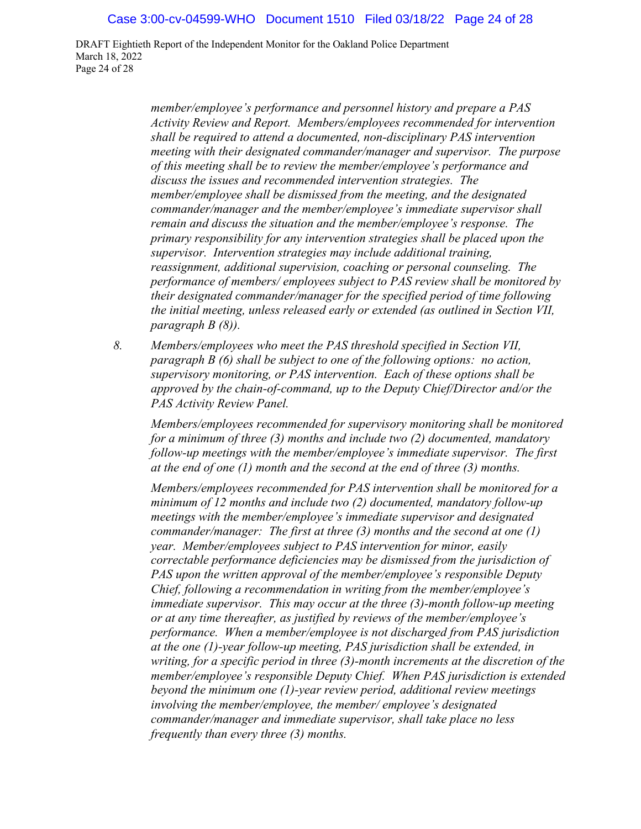DRAFT Eightieth Report of the Independent Monitor for the Oakland Police Department March 18, 2022 Page 24 of 28

> *member/employee's performance and personnel history and prepare a PAS Activity Review and Report. Members/employees recommended for intervention shall be required to attend a documented, non-disciplinary PAS intervention meeting with their designated commander/manager and supervisor. The purpose of this meeting shall be to review the member/employee's performance and discuss the issues and recommended intervention strategies. The member/employee shall be dismissed from the meeting, and the designated commander/manager and the member/employee's immediate supervisor shall remain and discuss the situation and the member/employee's response. The primary responsibility for any intervention strategies shall be placed upon the supervisor. Intervention strategies may include additional training, reassignment, additional supervision, coaching or personal counseling. The performance of members/ employees subject to PAS review shall be monitored by their designated commander/manager for the specified period of time following the initial meeting, unless released early or extended (as outlined in Section VII, paragraph B (8)).*

*8. Members/employees who meet the PAS threshold specified in Section VII, paragraph B (6) shall be subject to one of the following options: no action, supervisory monitoring, or PAS intervention. Each of these options shall be approved by the chain-of-command, up to the Deputy Chief/Director and/or the PAS Activity Review Panel.*

*Members/employees recommended for supervisory monitoring shall be monitored for a minimum of three (3) months and include two (2) documented, mandatory follow-up meetings with the member/employee's immediate supervisor. The first at the end of one (1) month and the second at the end of three (3) months.*

*Members/employees recommended for PAS intervention shall be monitored for a minimum of 12 months and include two (2) documented, mandatory follow-up meetings with the member/employee's immediate supervisor and designated commander/manager: The first at three (3) months and the second at one (1) year. Member/employees subject to PAS intervention for minor, easily correctable performance deficiencies may be dismissed from the jurisdiction of PAS upon the written approval of the member/employee's responsible Deputy Chief, following a recommendation in writing from the member/employee's immediate supervisor. This may occur at the three (3)-month follow-up meeting or at any time thereafter, as justified by reviews of the member/employee's performance. When a member/employee is not discharged from PAS jurisdiction at the one (1)-year follow-up meeting, PAS jurisdiction shall be extended, in writing, for a specific period in three (3)-month increments at the discretion of the member/employee's responsible Deputy Chief. When PAS jurisdiction is extended beyond the minimum one (1)-year review period, additional review meetings involving the member/employee, the member/ employee's designated commander/manager and immediate supervisor, shall take place no less frequently than every three (3) months.*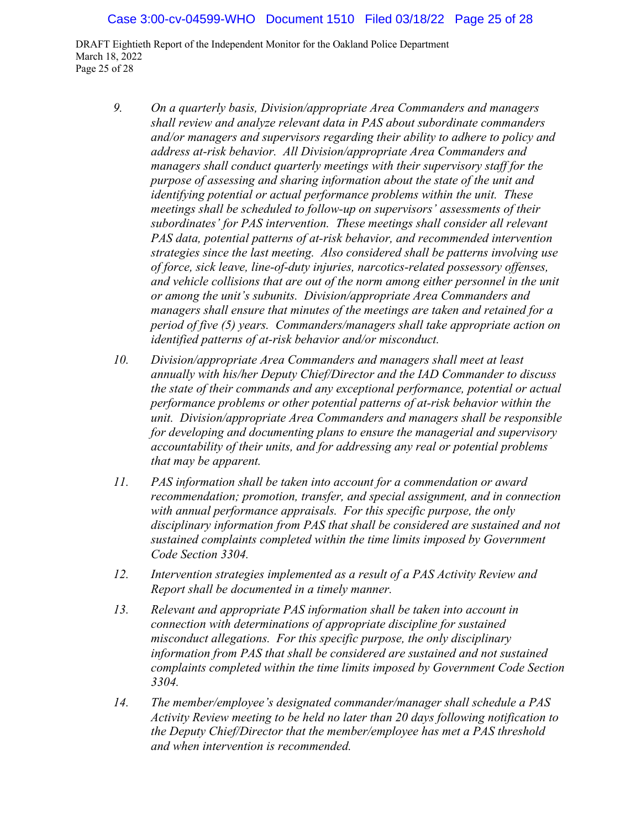DRAFT Eightieth Report of the Independent Monitor for the Oakland Police Department March 18, 2022 Page 25 of 28

- *9. On a quarterly basis, Division/appropriate Area Commanders and managers shall review and analyze relevant data in PAS about subordinate commanders and/or managers and supervisors regarding their ability to adhere to policy and address at-risk behavior. All Division/appropriate Area Commanders and managers shall conduct quarterly meetings with their supervisory staff for the purpose of assessing and sharing information about the state of the unit and identifying potential or actual performance problems within the unit. These meetings shall be scheduled to follow-up on supervisors' assessments of their subordinates' for PAS intervention. These meetings shall consider all relevant PAS data, potential patterns of at-risk behavior, and recommended intervention strategies since the last meeting. Also considered shall be patterns involving use of force, sick leave, line-of-duty injuries, narcotics-related possessory offenses, and vehicle collisions that are out of the norm among either personnel in the unit or among the unit's subunits. Division/appropriate Area Commanders and managers shall ensure that minutes of the meetings are taken and retained for a period of five (5) years. Commanders/managers shall take appropriate action on identified patterns of at-risk behavior and/or misconduct.*
- *10. Division/appropriate Area Commanders and managers shall meet at least annually with his/her Deputy Chief/Director and the IAD Commander to discuss the state of their commands and any exceptional performance, potential or actual performance problems or other potential patterns of at-risk behavior within the unit. Division/appropriate Area Commanders and managers shall be responsible for developing and documenting plans to ensure the managerial and supervisory accountability of their units, and for addressing any real or potential problems that may be apparent.*
- *11. PAS information shall be taken into account for a commendation or award recommendation; promotion, transfer, and special assignment, and in connection with annual performance appraisals. For this specific purpose, the only disciplinary information from PAS that shall be considered are sustained and not sustained complaints completed within the time limits imposed by Government Code Section 3304.*
- *12. Intervention strategies implemented as a result of a PAS Activity Review and Report shall be documented in a timely manner.*
- *13. Relevant and appropriate PAS information shall be taken into account in connection with determinations of appropriate discipline for sustained misconduct allegations. For this specific purpose, the only disciplinary information from PAS that shall be considered are sustained and not sustained complaints completed within the time limits imposed by Government Code Section 3304.*
- *14. The member/employee's designated commander/manager shall schedule a PAS Activity Review meeting to be held no later than 20 days following notification to the Deputy Chief/Director that the member/employee has met a PAS threshold and when intervention is recommended.*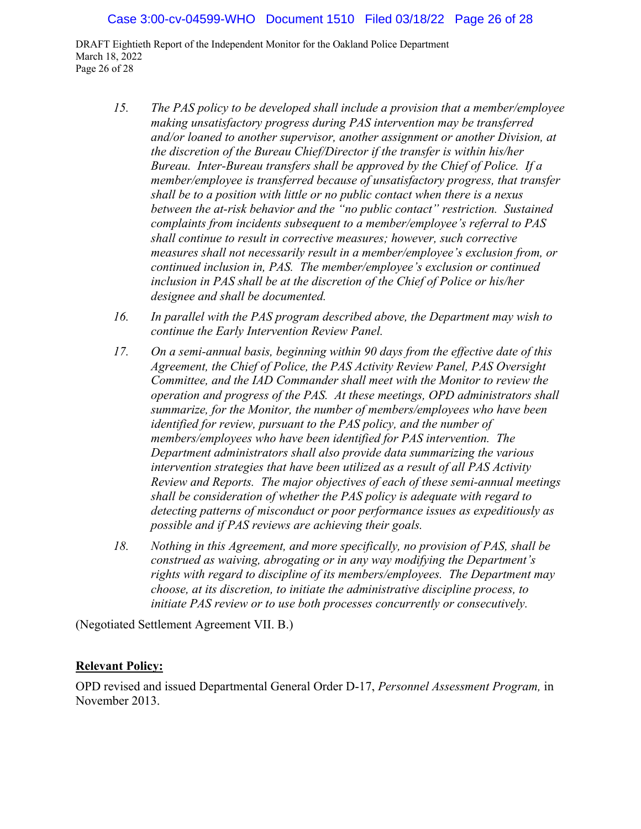DRAFT Eightieth Report of the Independent Monitor for the Oakland Police Department March 18, 2022 Page 26 of 28

- *15. The PAS policy to be developed shall include a provision that a member/employee making unsatisfactory progress during PAS intervention may be transferred and/or loaned to another supervisor, another assignment or another Division, at the discretion of the Bureau Chief/Director if the transfer is within his/her Bureau. Inter-Bureau transfers shall be approved by the Chief of Police. If a member/employee is transferred because of unsatisfactory progress, that transfer shall be to a position with little or no public contact when there is a nexus between the at-risk behavior and the "no public contact" restriction. Sustained complaints from incidents subsequent to a member/employee's referral to PAS shall continue to result in corrective measures; however, such corrective measures shall not necessarily result in a member/employee's exclusion from, or continued inclusion in, PAS. The member/employee's exclusion or continued inclusion in PAS shall be at the discretion of the Chief of Police or his/her designee and shall be documented.*
- *16. In parallel with the PAS program described above, the Department may wish to continue the Early Intervention Review Panel.*
- *17. On a semi-annual basis, beginning within 90 days from the effective date of this Agreement, the Chief of Police, the PAS Activity Review Panel, PAS Oversight Committee, and the IAD Commander shall meet with the Monitor to review the operation and progress of the PAS. At these meetings, OPD administrators shall summarize, for the Monitor, the number of members/employees who have been identified for review, pursuant to the PAS policy, and the number of members/employees who have been identified for PAS intervention. The Department administrators shall also provide data summarizing the various intervention strategies that have been utilized as a result of all PAS Activity Review and Reports. The major objectives of each of these semi-annual meetings shall be consideration of whether the PAS policy is adequate with regard to detecting patterns of misconduct or poor performance issues as expeditiously as possible and if PAS reviews are achieving their goals.*
- *18. Nothing in this Agreement, and more specifically, no provision of PAS, shall be construed as waiving, abrogating or in any way modifying the Department's rights with regard to discipline of its members/employees. The Department may choose, at its discretion, to initiate the administrative discipline process, to initiate PAS review or to use both processes concurrently or consecutively.*

(Negotiated Settlement Agreement VII. B.)

#### **Relevant Policy:**

OPD revised and issued Departmental General Order D-17, *Personnel Assessment Program,* in November 2013.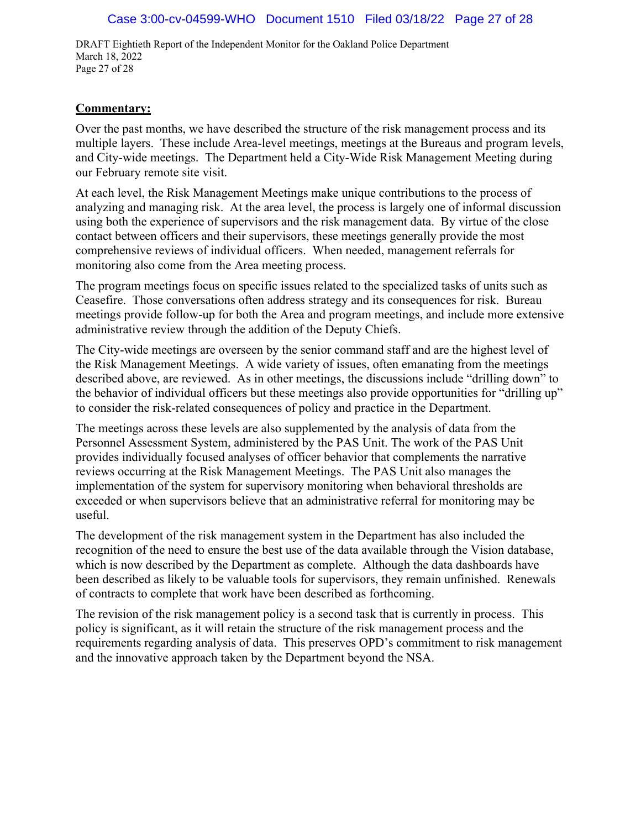DRAFT Eightieth Report of the Independent Monitor for the Oakland Police Department March 18, 2022 Page 27 of 28

#### **Commentary:**

Over the past months, we have described the structure of the risk management process and its multiple layers. These include Area-level meetings, meetings at the Bureaus and program levels, and City-wide meetings. The Department held a City-Wide Risk Management Meeting during our February remote site visit.

At each level, the Risk Management Meetings make unique contributions to the process of analyzing and managing risk. At the area level, the process is largely one of informal discussion using both the experience of supervisors and the risk management data. By virtue of the close contact between officers and their supervisors, these meetings generally provide the most comprehensive reviews of individual officers. When needed, management referrals for monitoring also come from the Area meeting process.

The program meetings focus on specific issues related to the specialized tasks of units such as Ceasefire. Those conversations often address strategy and its consequences for risk. Bureau meetings provide follow-up for both the Area and program meetings, and include more extensive administrative review through the addition of the Deputy Chiefs.

The City-wide meetings are overseen by the senior command staff and are the highest level of the Risk Management Meetings. A wide variety of issues, often emanating from the meetings described above, are reviewed. As in other meetings, the discussions include "drilling down" to the behavior of individual officers but these meetings also provide opportunities for "drilling up" to consider the risk-related consequences of policy and practice in the Department.

The meetings across these levels are also supplemented by the analysis of data from the Personnel Assessment System, administered by the PAS Unit. The work of the PAS Unit provides individually focused analyses of officer behavior that complements the narrative reviews occurring at the Risk Management Meetings. The PAS Unit also manages the implementation of the system for supervisory monitoring when behavioral thresholds are exceeded or when supervisors believe that an administrative referral for monitoring may be useful.

The development of the risk management system in the Department has also included the recognition of the need to ensure the best use of the data available through the Vision database, which is now described by the Department as complete. Although the data dashboards have been described as likely to be valuable tools for supervisors, they remain unfinished. Renewals of contracts to complete that work have been described as forthcoming.

The revision of the risk management policy is a second task that is currently in process. This policy is significant, as it will retain the structure of the risk management process and the requirements regarding analysis of data. This preserves OPD's commitment to risk management and the innovative approach taken by the Department beyond the NSA.